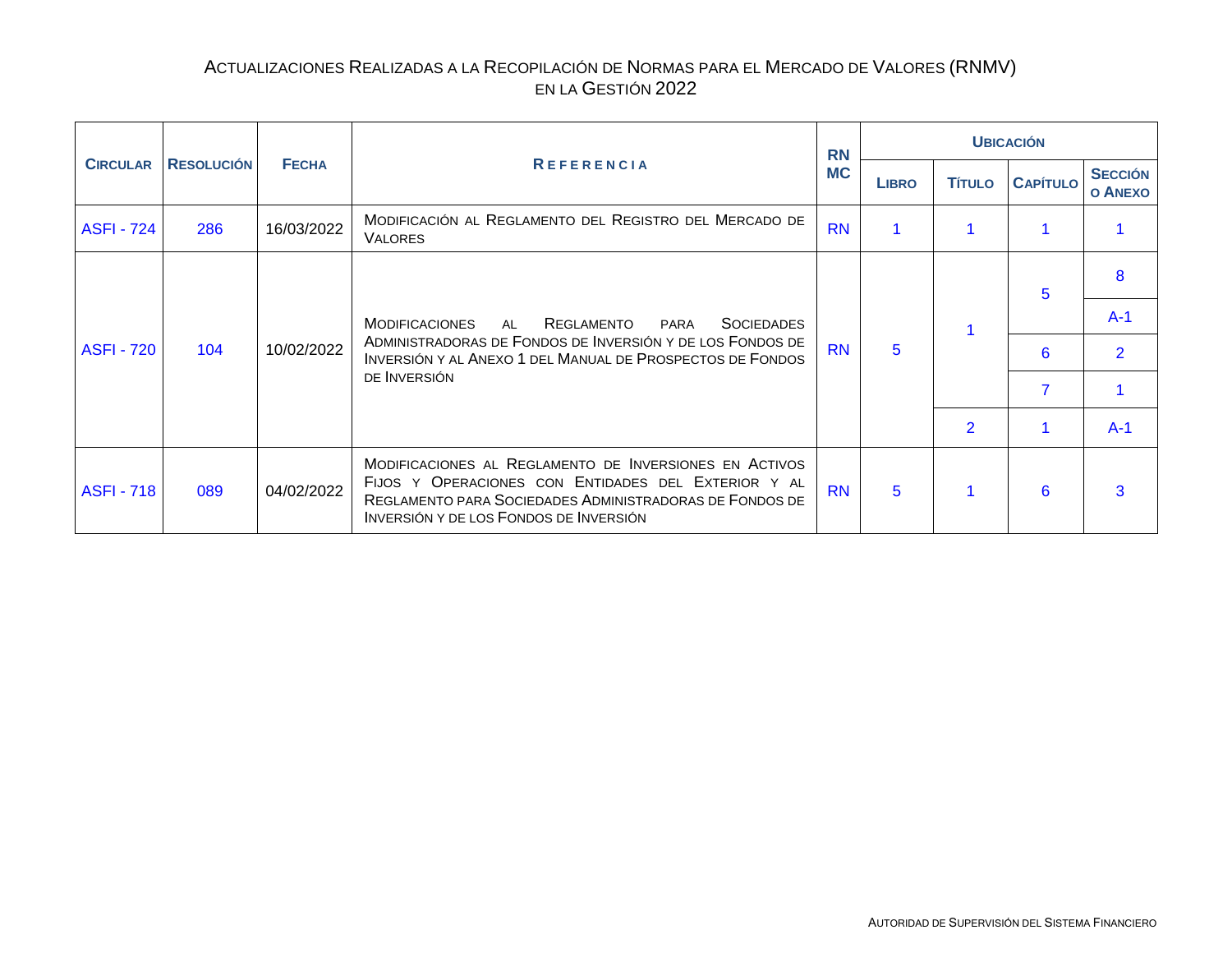<span id="page-0-0"></span>

|                   |                   |              |                                                                                                                                                                                                                    | <b>RN</b> |              |                | <b>UBICACIÓN</b> | <b>SECCIÓN</b><br><b>O ANEXO</b><br>8<br>$A-1$<br>$\overline{2}$ |
|-------------------|-------------------|--------------|--------------------------------------------------------------------------------------------------------------------------------------------------------------------------------------------------------------------|-----------|--------------|----------------|------------------|------------------------------------------------------------------|
| <b>CIRCULAR</b>   | <b>RESOLUCIÓN</b> | <b>FECHA</b> | <b>REFERENCIA</b>                                                                                                                                                                                                  | <b>MC</b> | <b>LIBRO</b> | <b>TÍTULO</b>  | <b>CAPÍTULO</b>  |                                                                  |
| <b>ASFI - 724</b> | 286               | 16/03/2022   | MODIFICACIÓN AL REGLAMENTO DEL REGISTRO DEL MERCADO DE<br><b>VALORES</b>                                                                                                                                           | <b>RN</b> |              |                |                  |                                                                  |
|                   |                   |              |                                                                                                                                                                                                                    |           |              |                | 5                |                                                                  |
|                   |                   |              | REGLAMENTO<br><b>MODIFICACIONES</b><br>AL<br>PARA<br><b>SOCIEDADES</b>                                                                                                                                             |           |              |                |                  |                                                                  |
| <b>ASFI - 720</b> | 104               | 10/02/2022   | ADMINISTRADORAS DE FONDOS DE INVERSIÓN Y DE LOS FONDOS DE<br>INVERSIÓN Y AL ANEXO 1 DEL MANUAL DE PROSPECTOS DE FONDOS                                                                                             | <b>RN</b> | 5            |                | 6                |                                                                  |
|                   |                   |              | DE INVERSIÓN                                                                                                                                                                                                       |           |              |                |                  |                                                                  |
|                   |                   |              |                                                                                                                                                                                                                    |           |              | $\overline{2}$ |                  | $A-1$                                                            |
| <b>ASFI - 718</b> | 089               | 04/02/2022   | MODIFICACIONES AL REGLAMENTO DE INVERSIONES EN ACTIVOS<br>FIJOS Y OPERACIONES CON ENTIDADES DEL EXTERIOR Y AL<br>REGLAMENTO PARA SOCIEDADES ADMINISTRADORAS DE FONDOS DE<br>INVERSIÓN Y DE LOS FONDOS DE INVERSIÓN | <b>RN</b> | 5            |                | 6                | 3                                                                |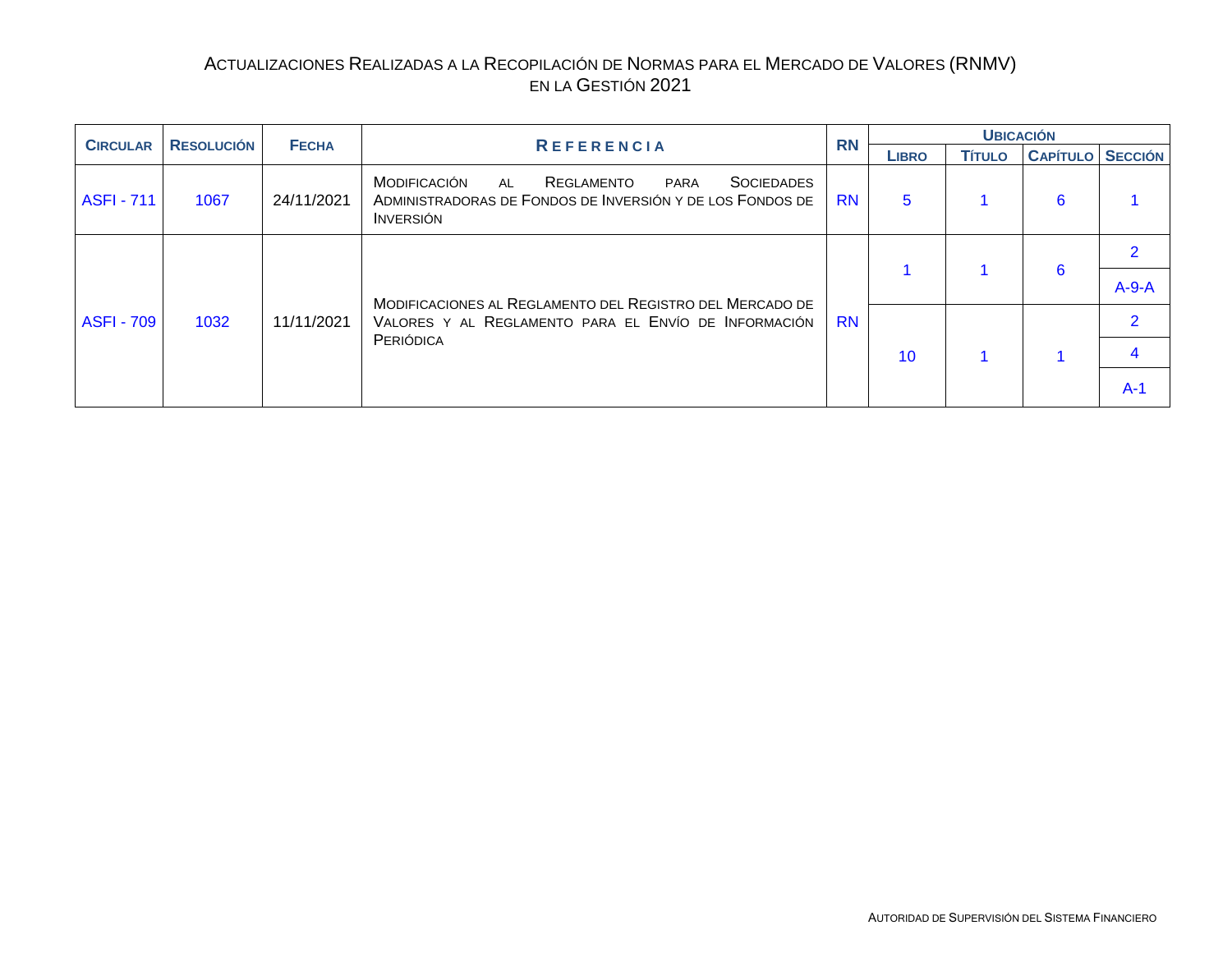<span id="page-1-0"></span>

| <b>CIRCULAR</b>   |                   |              |                                                                                                                                                 | <b>RN</b> |              | <b>UBICACIÓN</b> |                         |         |
|-------------------|-------------------|--------------|-------------------------------------------------------------------------------------------------------------------------------------------------|-----------|--------------|------------------|-------------------------|---------|
|                   | <b>RESOLUCIÓN</b> | <b>FECHA</b> | <b>REFERENCIA</b>                                                                                                                               |           | <b>LIBRO</b> | <b>TÍTULO</b>    | <b>CAPÍTULO SECCIÓN</b> |         |
| <b>ASFI - 711</b> | 1067              | 24/11/2021   | MODIFICACIÓN<br><b>SOCIEDADES</b><br>REGLAMENTO<br>PARA<br>AL<br>ADMINISTRADORAS DE FONDOS DE INVERSIÓN Y DE LOS FONDOS DE<br><b>I</b> NVERSIÓN | <b>RN</b> | 5            |                  | 6                       |         |
|                   |                   |              |                                                                                                                                                 |           |              |                  |                         |         |
|                   |                   |              | MODIFICACIONES AL REGLAMENTO DEL REGISTRO DEL MERCADO DE                                                                                        |           |              |                  | 6                       | $A-9-A$ |
| <b>ASFI - 709</b> | 1032              | 11/11/2021   | VALORES Y AL REGLAMENTO PARA EL ENVÍO DE INFORMACIÓN                                                                                            | <b>RN</b> |              |                  |                         | າ       |
|                   |                   |              | PERIÓDICA                                                                                                                                       |           | 10           |                  |                         |         |
|                   |                   |              |                                                                                                                                                 |           |              |                  |                         | $A-1$   |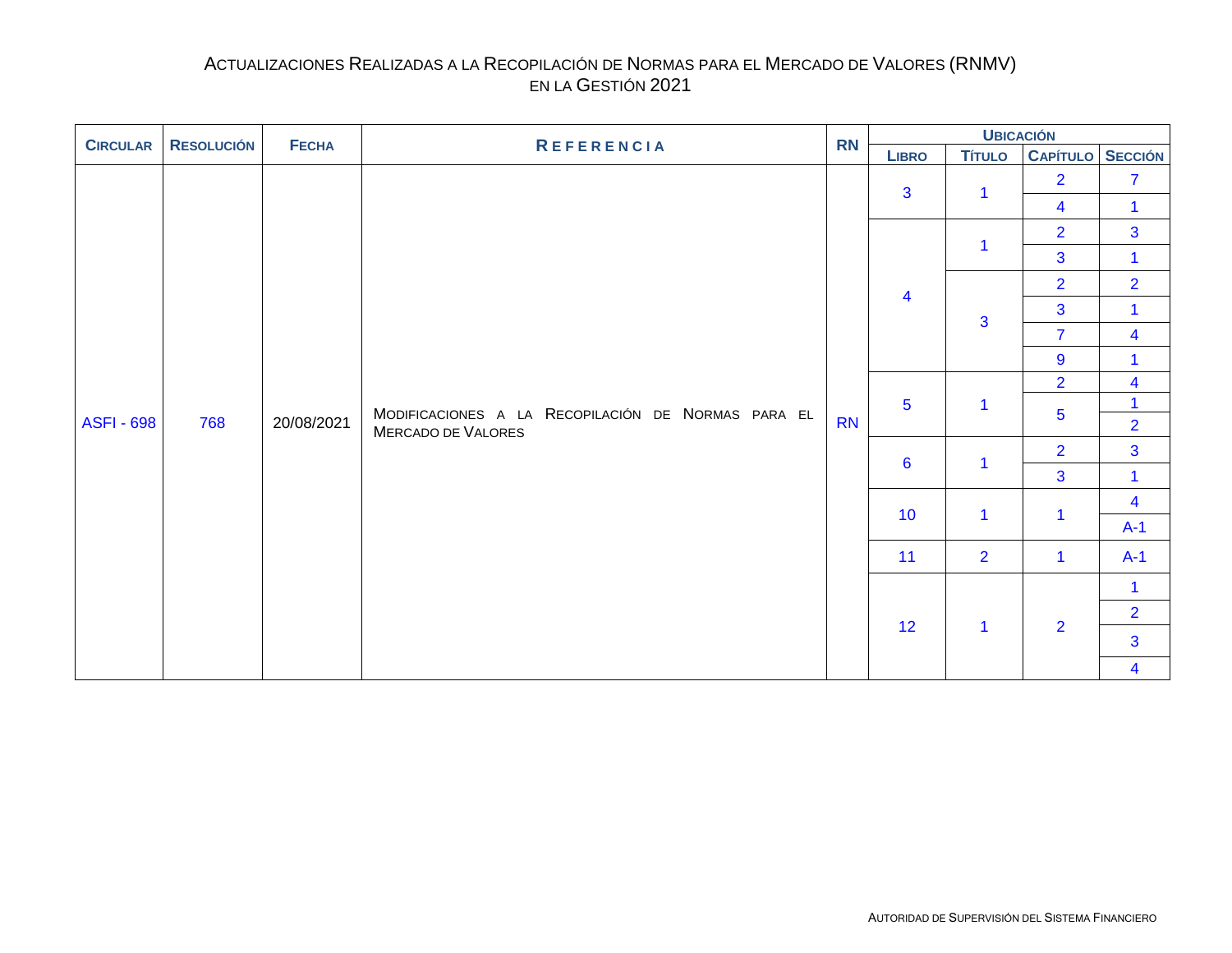<span id="page-2-0"></span>

| <b>CIRCULAR</b>   | <b>RN</b><br><b>RESOLUCIÓN</b><br><b>REFERENCIA</b><br><b>FECHA</b> |            | <b>UBICACIÓN</b>                                   |           |                         |                |                         |                                |  |                         |
|-------------------|---------------------------------------------------------------------|------------|----------------------------------------------------|-----------|-------------------------|----------------|-------------------------|--------------------------------|--|-------------------------|
|                   |                                                                     |            |                                                    |           | <b>LIBRO</b>            | <b>Título</b>  | <b>CAPÍTULO SECCIÓN</b> |                                |  |                         |
|                   |                                                                     |            |                                                    |           | 3                       | 1              | $\overline{2}$          | $\overline{7}$                 |  |                         |
|                   |                                                                     |            |                                                    |           |                         |                | $\overline{\mathbf{4}}$ | $\mathbf{1}$                   |  |                         |
|                   |                                                                     |            |                                                    |           |                         | 1              | $\overline{2}$          | $\overline{3}$                 |  |                         |
|                   |                                                                     |            |                                                    |           |                         |                | $\overline{3}$          | $\mathbf{1}$                   |  |                         |
|                   |                                                                     |            |                                                    |           | $\overline{\mathbf{4}}$ |                | $\overline{2}$          | $\overline{2}$                 |  |                         |
|                   |                                                                     |            |                                                    |           |                         | 3              | 3                       | $\mathbf{1}$                   |  |                         |
|                   |                                                                     |            |                                                    |           |                         |                | $\overline{7}$          | $\overline{\mathbf{4}}$        |  |                         |
|                   |                                                                     |            |                                                    | <b>RN</b> |                         |                | 9                       | 1                              |  |                         |
|                   |                                                                     |            |                                                    |           |                         |                | $\overline{2}$          | $\overline{\mathbf{4}}$        |  |                         |
| <b>ASFI - 698</b> | 768                                                                 | 20/08/2021 | MODIFICACIONES A LA RECOPILACIÓN DE NORMAS PARA EL |           | $\overline{5}$          | $\mathbf 1$    | 5                       | $\mathbf{1}$<br>$\overline{2}$ |  |                         |
|                   |                                                                     |            | MERCADO DE VALORES                                 |           |                         |                | $\overline{2}$          | $\overline{3}$                 |  |                         |
|                   |                                                                     |            |                                                    |           | $6\phantom{1}$          | $\overline{1}$ | $\overline{3}$          |                                |  |                         |
|                   |                                                                     |            |                                                    |           |                         |                |                         | $\mathbf{1}$                   |  |                         |
|                   |                                                                     |            |                                                    |           | 10                      | $\mathbf{1}$   | 1                       | $\overline{\mathbf{4}}$        |  |                         |
|                   |                                                                     |            |                                                    |           |                         |                |                         | $A-1$                          |  |                         |
|                   |                                                                     |            |                                                    |           | 11                      | 2 <sup>1</sup> | $\mathbf{1}$            | $A-1$                          |  |                         |
|                   |                                                                     |            |                                                    |           |                         |                |                         | $\mathbf{1}$                   |  |                         |
|                   |                                                                     |            |                                                    |           | 12                      | $\mathbf{1}$   | $\overline{2}$          | $\overline{2}$                 |  |                         |
|                   |                                                                     |            |                                                    |           |                         |                |                         | $\overline{3}$                 |  |                         |
|                   |                                                                     |            |                                                    |           |                         |                |                         |                                |  | $\overline{\mathbf{4}}$ |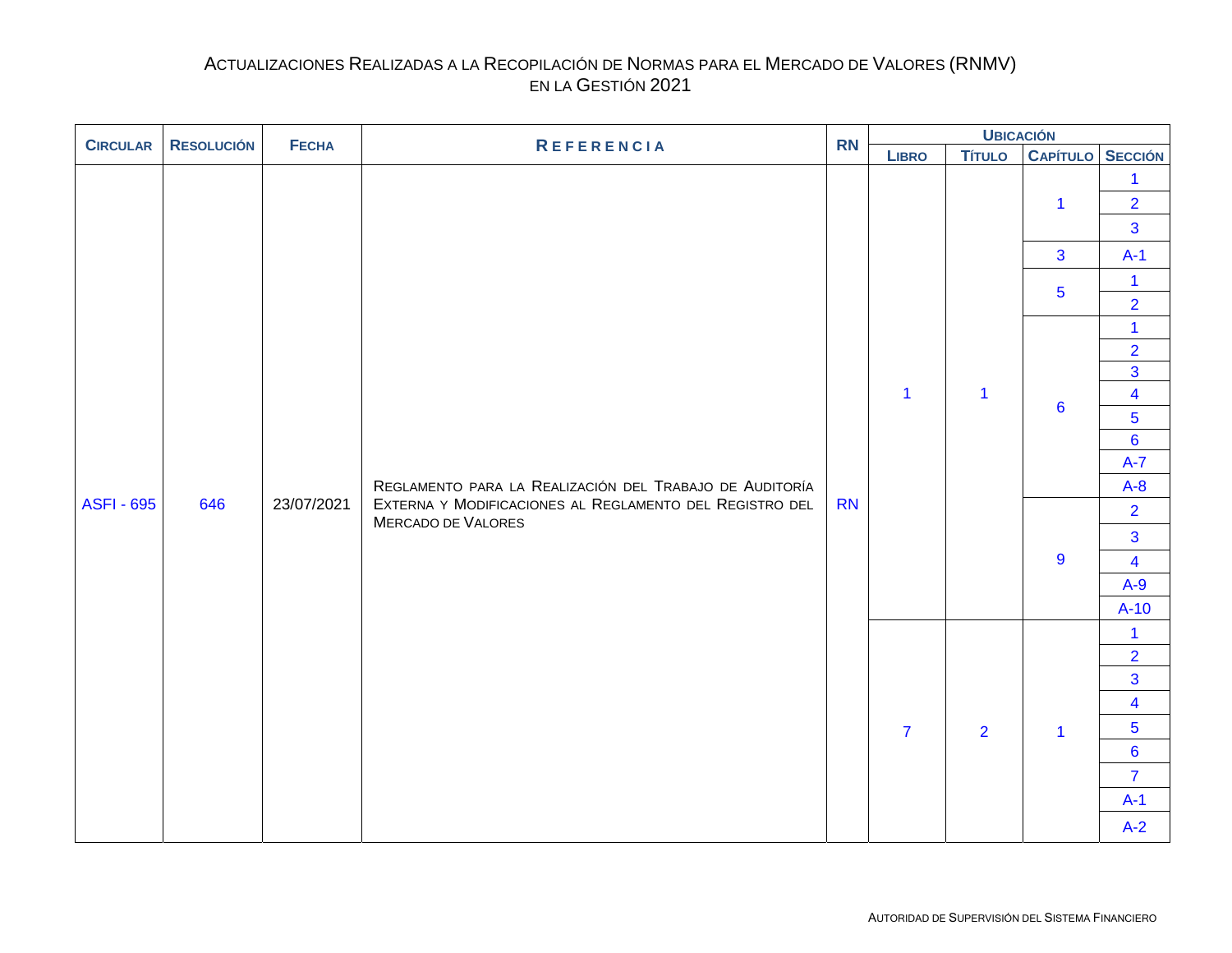<span id="page-3-0"></span>

| <b>CIRCULAR</b>   | <b>RESOLUCIÓN</b> | <b>FECHA</b> | <b>REFERENCIA</b>                                                             | <b>RN</b>    |                | <b>UBICACIÓN</b>               |                                                                                                                                                                                                                                                                                                                                                           |                                                  |  |  |
|-------------------|-------------------|--------------|-------------------------------------------------------------------------------|--------------|----------------|--------------------------------|-----------------------------------------------------------------------------------------------------------------------------------------------------------------------------------------------------------------------------------------------------------------------------------------------------------------------------------------------------------|--------------------------------------------------|--|--|
|                   |                   |              |                                                                               |              | <b>LIBRO</b>   | <b>Título</b>                  |                                                                                                                                                                                                                                                                                                                                                           |                                                  |  |  |
|                   |                   |              |                                                                               |              |                | $\mathbf{1}$<br>$\overline{3}$ |                                                                                                                                                                                                                                                                                                                                                           | $\mathbf{1}$<br>$\overline{2}$<br>$\overline{3}$ |  |  |
|                   |                   |              |                                                                               |              |                |                                |                                                                                                                                                                                                                                                                                                                                                           |                                                  |  |  |
|                   |                   |              |                                                                               |              |                |                                | $\overline{5}$                                                                                                                                                                                                                                                                                                                                            |                                                  |  |  |
|                   |                   |              |                                                                               |              |                |                                |                                                                                                                                                                                                                                                                                                                                                           |                                                  |  |  |
|                   |                   |              |                                                                               |              |                |                                | $\overline{2}$                                                                                                                                                                                                                                                                                                                                            |                                                  |  |  |
|                   |                   |              |                                                                               |              |                |                                | CAPÍTULO SECCIÓN<br>$A-1$<br>$\mathbf 1$<br>$\overline{2}$<br>$\mathbf{1}$<br>$\overline{3}$<br>$\overline{\mathbf{4}}$<br>6<br>$5\overline{)}$<br>$6\overline{6}$<br>$A-7$<br>$A-8$<br>$\overline{2}$<br>3<br>9<br>$\overline{4}$<br>$A-9$<br>$A-10$<br>$\mathbf{1}$<br>$\overline{2}$<br>$\overline{3}$<br>$\overline{\mathbf{4}}$<br>5<br>$\mathbf{1}$ |                                                  |  |  |
|                   |                   |              |                                                                               | $\mathbf{1}$ | $\mathbf{1}$   |                                |                                                                                                                                                                                                                                                                                                                                                           |                                                  |  |  |
|                   |                   |              |                                                                               |              |                |                                |                                                                                                                                                                                                                                                                                                                                                           |                                                  |  |  |
|                   |                   |              | REGLAMENTO PARA LA REALIZACIÓN DEL TRABAJO DE AUDITORÍA                       |              |                |                                |                                                                                                                                                                                                                                                                                                                                                           |                                                  |  |  |
|                   |                   |              |                                                                               |              |                |                                |                                                                                                                                                                                                                                                                                                                                                           |                                                  |  |  |
| <b>ASFI - 695</b> | 646               | 23/07/2021   | EXTERNA Y MODIFICACIONES AL REGLAMENTO DEL REGISTRO DEL<br>MERCADO DE VALORES | <b>RN</b>    |                |                                |                                                                                                                                                                                                                                                                                                                                                           |                                                  |  |  |
|                   |                   |              |                                                                               |              |                |                                |                                                                                                                                                                                                                                                                                                                                                           |                                                  |  |  |
|                   |                   |              |                                                                               |              |                |                                |                                                                                                                                                                                                                                                                                                                                                           |                                                  |  |  |
|                   |                   |              |                                                                               |              |                |                                |                                                                                                                                                                                                                                                                                                                                                           |                                                  |  |  |
|                   |                   |              |                                                                               |              |                |                                |                                                                                                                                                                                                                                                                                                                                                           |                                                  |  |  |
|                   |                   |              |                                                                               |              |                |                                |                                                                                                                                                                                                                                                                                                                                                           |                                                  |  |  |
|                   |                   |              |                                                                               |              |                |                                |                                                                                                                                                                                                                                                                                                                                                           |                                                  |  |  |
|                   |                   |              |                                                                               |              |                |                                |                                                                                                                                                                                                                                                                                                                                                           |                                                  |  |  |
|                   |                   |              |                                                                               |              | $\overline{7}$ | $\overline{2}$                 |                                                                                                                                                                                                                                                                                                                                                           |                                                  |  |  |
|                   |                   |              |                                                                               |              |                |                                |                                                                                                                                                                                                                                                                                                                                                           | $6\overline{6}$                                  |  |  |
|                   |                   |              |                                                                               |              |                |                                |                                                                                                                                                                                                                                                                                                                                                           | $\overline{7}$                                   |  |  |
|                   |                   |              |                                                                               |              |                |                                |                                                                                                                                                                                                                                                                                                                                                           | $A-1$                                            |  |  |
|                   |                   |              |                                                                               |              |                |                                |                                                                                                                                                                                                                                                                                                                                                           | $A-2$                                            |  |  |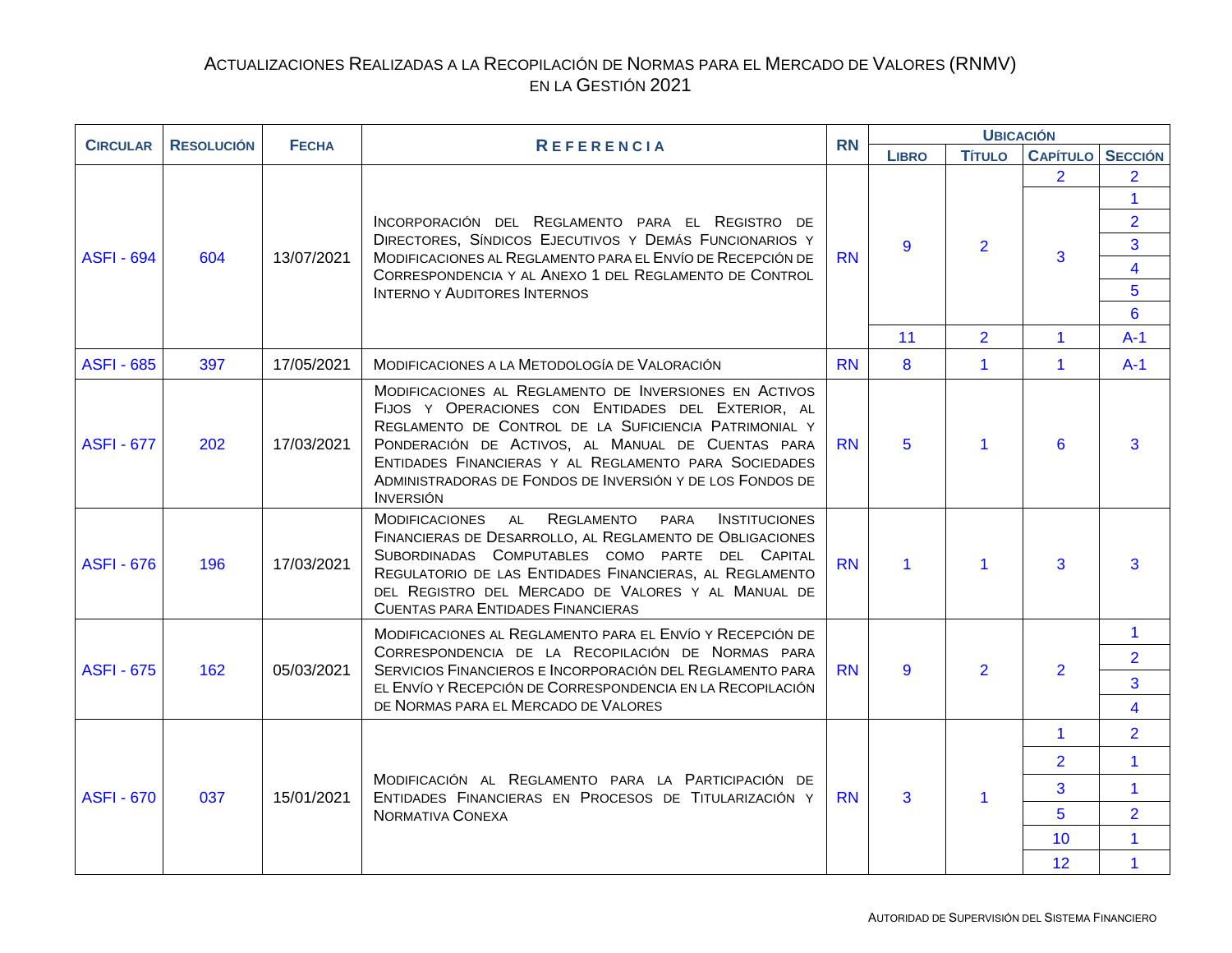<span id="page-4-0"></span>

| <b>CIRCULAR</b>   | <b>RESOLUCIÓN</b> | <b>FECHA</b> | <b>REFERENCIA</b>                                                                                                                                                                                                                                                                                                                                                    | <b>RN</b> | <b>UBICACIÓN</b>     |                      |                     |                                                                                                     |  |
|-------------------|-------------------|--------------|----------------------------------------------------------------------------------------------------------------------------------------------------------------------------------------------------------------------------------------------------------------------------------------------------------------------------------------------------------------------|-----------|----------------------|----------------------|---------------------|-----------------------------------------------------------------------------------------------------|--|
|                   |                   |              |                                                                                                                                                                                                                                                                                                                                                                      |           | <b>LIBRO</b>         | <b>Título</b>        | <b>CAPÍTULO</b>     | <b>SECCIÓN</b>                                                                                      |  |
| <b>ASFI - 694</b> | 604               | 13/07/2021   | INCORPORACIÓN DEL REGLAMENTO PARA EL REGISTRO DE<br>DIRECTORES, SÍNDICOS EJECUTIVOS Y DEMÁS FUNCIONARIOS Y<br>MODIFICACIONES AL REGLAMENTO PARA EL ENVÍO DE RECEPCIÓN DE<br>CORRESPONDENCIA Y AL ANEXO 1 DEL REGLAMENTO DE CONTROL<br><b>INTERNO Y AUDITORES INTERNOS</b>                                                                                            | <b>RN</b> | 9                    | $\overline{2}$       | $\overline{2}$<br>3 | $\overline{2}$<br>$\mathbf{1}$<br>$\overline{2}$<br>$\overline{3}$<br>$\overline{4}$<br>5<br>$6 \,$ |  |
|                   |                   |              |                                                                                                                                                                                                                                                                                                                                                                      |           | 11                   | $\overline{2}$       | 1                   | $A-1$                                                                                               |  |
| <b>ASFI - 685</b> | 397               | 17/05/2021   | MODIFICACIONES A LA METODOLOGÍA DE VALORACIÓN                                                                                                                                                                                                                                                                                                                        | <b>RN</b> | 8                    | $\mathbf{1}$         | $\mathbf{1}$        | $A-1$                                                                                               |  |
| <b>ASFI - 677</b> | 202               | 17/03/2021   | MODIFICACIONES AL REGLAMENTO DE INVERSIONES EN ACTIVOS<br>FIJOS Y OPERACIONES CON ENTIDADES DEL EXTERIOR, AL<br>REGLAMENTO DE CONTROL DE LA SUFICIENCIA PATRIMONIAL Y<br>PONDERACIÓN DE ACTIVOS, AL MANUAL DE CUENTAS PARA<br>ENTIDADES FINANCIERAS Y AL REGLAMENTO PARA SOCIEDADES<br>ADMINISTRADORAS DE FONDOS DE INVERSIÓN Y DE LOS FONDOS DE<br><b>INVERSIÓN</b> | <b>RN</b> | 5                    | 1                    | 6                   | 3                                                                                                   |  |
| <b>ASFI - 676</b> | 196               | 17/03/2021   | MODIFICACIONES AL REGLAMENTO<br>PARA<br><b>INSTITUCIONES</b><br>FINANCIERAS DE DESARROLLO, AL REGLAMENTO DE OBLIGACIONES<br>SUBORDINADAS COMPUTABLES COMO PARTE DEL CAPITAL<br>REGULATORIO DE LAS ENTIDADES FINANCIERAS, AL REGLAMENTO<br>DEL REGISTRO DEL MERCADO DE VALORES Y AL MANUAL DE<br><b>CUENTAS PARA ENTIDADES FINANCIERAS</b>                            | <b>RN</b> | $\blacktriangleleft$ | $\blacktriangleleft$ | 3                   | 3                                                                                                   |  |
| <b>ASFI - 675</b> | 162               | 05/03/2021   | MODIFICACIONES AL REGLAMENTO PARA EL ENVÍO Y RECEPCIÓN DE<br>CORRESPONDENCIA DE LA RECOPILACIÓN DE NORMAS PARA<br>SERVICIOS FINANCIEROS E INCORPORACIÓN DEL REGLAMENTO PARA<br>EL ENVÍO Y RECEPCIÓN DE CORRESPONDENCIA EN LA RECOPILACIÓN<br>DE NORMAS PARA EL MERCADO DE VALORES                                                                                    | <b>RN</b> | 9                    | $\overline{2}$       | $\overline{2}$      | $\mathbf{1}$<br>$\overline{2}$<br>3<br>$\overline{4}$                                               |  |
|                   |                   |              |                                                                                                                                                                                                                                                                                                                                                                      |           |                      |                      | $\mathbf 1$         | $\overline{2}$                                                                                      |  |
|                   |                   |              |                                                                                                                                                                                                                                                                                                                                                                      |           |                      |                      | $\overline{2}$      | $\mathbf{1}$                                                                                        |  |
| <b>ASFI - 670</b> | 037               | 15/01/2021   | MODIFICACIÓN AL REGLAMENTO PARA LA PARTICIPACIÓN DE<br>ENTIDADES FINANCIERAS EN PROCESOS DE TITULARIZACIÓN Y                                                                                                                                                                                                                                                         | <b>RN</b> | 3                    | $\blacktriangleleft$ | 3                   | $\mathbf{1}$                                                                                        |  |
|                   |                   |              | NORMATIVA CONEXA                                                                                                                                                                                                                                                                                                                                                     |           |                      |                      | 5                   | $\overline{2}$                                                                                      |  |
|                   |                   |              |                                                                                                                                                                                                                                                                                                                                                                      |           |                      |                      | 10                  | $\mathbf{1}$                                                                                        |  |
|                   |                   |              |                                                                                                                                                                                                                                                                                                                                                                      |           |                      |                      | 12                  | $\mathbf{1}$                                                                                        |  |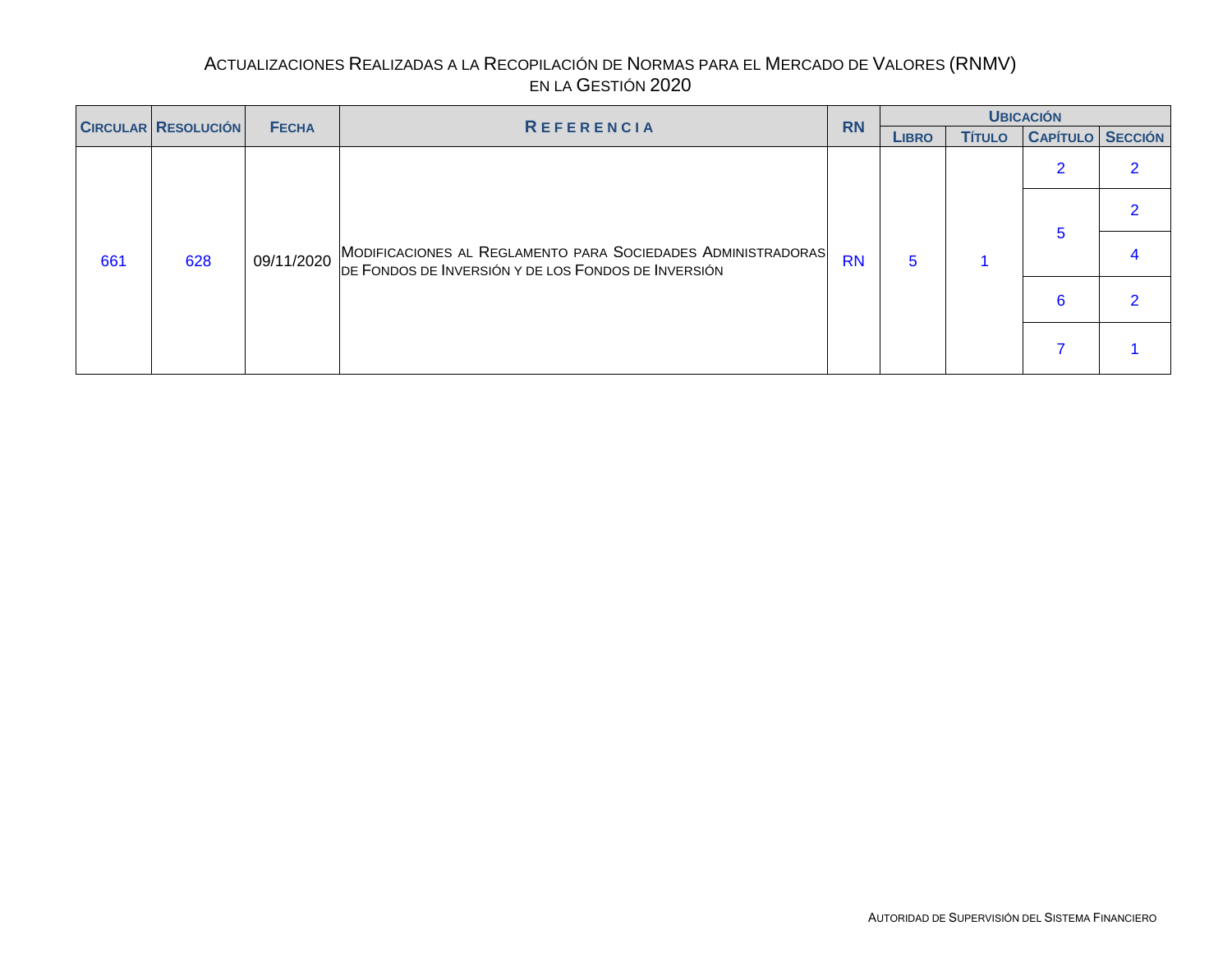<span id="page-5-0"></span>

| <b>CIRCULAR RESOLUCIÓN</b> |     |              |                                                                                                                                |           |              |               | <b>UBICACIÓN</b>        |  |
|----------------------------|-----|--------------|--------------------------------------------------------------------------------------------------------------------------------|-----------|--------------|---------------|-------------------------|--|
|                            |     | <b>FECHA</b> | <b>REFERENCIA</b>                                                                                                              | <b>RN</b> | <b>LIBRO</b> | <b>Título</b> | <b>CAPÍTULO SECCIÓN</b> |  |
|                            |     |              |                                                                                                                                |           |              |               |                         |  |
|                            |     |              |                                                                                                                                |           |              |               |                         |  |
| 661                        | 628 |              | 09/11/2020 MODIFICACIONES AL REGLAMENTO PARA SOCIEDADES ADMINISTRADORAS<br>DE FONDOS DE INVERSIÓN Y DE LOS FONDOS DE INVERSIÓN | <b>RN</b> | 5            |               |                         |  |
|                            |     |              |                                                                                                                                |           |              |               |                         |  |
|                            |     |              |                                                                                                                                |           |              |               |                         |  |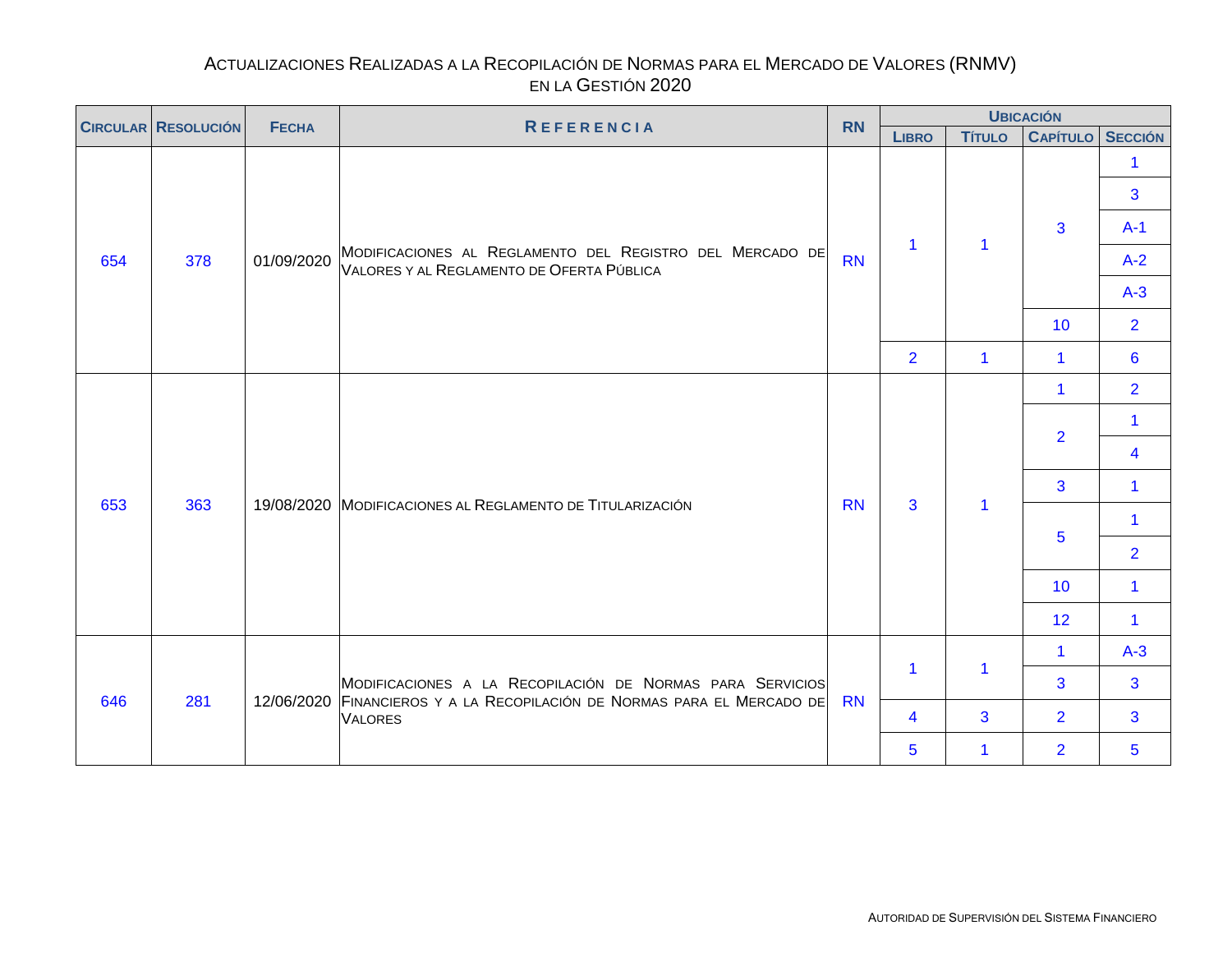<span id="page-6-0"></span>

|     | <b>CIRCULAR RESOLUCIÓN</b><br><b>FECHA</b><br><b>REFERENCIA</b> |            | <b>RN</b>                                                                                                                            |           |                         | <b>UBICACIÓN</b>     |                         |                      |
|-----|-----------------------------------------------------------------|------------|--------------------------------------------------------------------------------------------------------------------------------------|-----------|-------------------------|----------------------|-------------------------|----------------------|
|     |                                                                 |            |                                                                                                                                      |           | <b>LIBRO</b>            | <b>Título</b>        | <b>CAPÍTULO SECCIÓN</b> |                      |
|     |                                                                 |            |                                                                                                                                      |           |                         |                      |                         | 1.<br>3              |
|     |                                                                 |            |                                                                                                                                      |           | $\mathbf{1}$            | 1                    | 3 <sup>1</sup>          | $A-1$                |
| 654 | 378                                                             | 01/09/2020 | MODIFICACIONES AL REGLAMENTO DEL REGISTRO DEL MERCADO DE<br>VALORES Y AL REGLAMENTO DE OFERTA PÚBLICA                                | <b>RN</b> |                         |                      |                         | $A-2$                |
|     |                                                                 |            |                                                                                                                                      |           |                         |                      |                         | $A-3$                |
|     |                                                                 |            |                                                                                                                                      |           |                         |                      | 10                      | $\overline{2}$       |
|     |                                                                 |            |                                                                                                                                      |           | $\overline{2}$          | $\blacktriangleleft$ | $\mathbf{1}$            | $6\phantom{1}6$      |
|     |                                                                 |            |                                                                                                                                      |           |                         |                      | $\mathbf{1}$            | $\overline{2}$       |
|     |                                                                 |            |                                                                                                                                      |           |                         |                      | $\overline{2}$          | $\mathbf{1}$         |
|     |                                                                 |            |                                                                                                                                      |           |                         |                      |                         | 4                    |
| 653 | 363                                                             |            | 19/08/2020 MODIFICACIONES AL REGLAMENTO DE TITULARIZACIÓN                                                                            | <b>RN</b> | $\overline{3}$          | 1                    | 3                       | $\blacktriangleleft$ |
|     |                                                                 |            |                                                                                                                                      |           |                         |                      | 5                       | $\mathbf{1}$         |
|     |                                                                 |            |                                                                                                                                      |           |                         |                      |                         | $\overline{2}$       |
|     |                                                                 |            |                                                                                                                                      |           |                         |                      | 10                      | 1                    |
|     |                                                                 |            |                                                                                                                                      |           |                         |                      | 12                      | $\mathbf{1}$         |
|     |                                                                 |            |                                                                                                                                      |           | $\mathbf{1}$            |                      | $\mathbf{1}$            | $A-3$                |
|     | 281                                                             |            | MODIFICACIONES A LA RECOPILACIÓN DE NORMAS PARA SERVICIOS<br>12/06/2020 FINANCIEROS Y A LA RECOPILACIÓN DE NORMAS PARA EL MERCADO DE | <b>RN</b> |                         | $\mathbf{1}$         | 3                       | 3                    |
| 646 |                                                                 |            | <b>VALORES</b>                                                                                                                       |           | $\overline{\mathbf{4}}$ | 3                    | $\overline{2}$          | 3                    |
|     |                                                                 |            |                                                                                                                                      |           | $\overline{5}$          | $\blacktriangleleft$ | $\overline{2}$          | 5                    |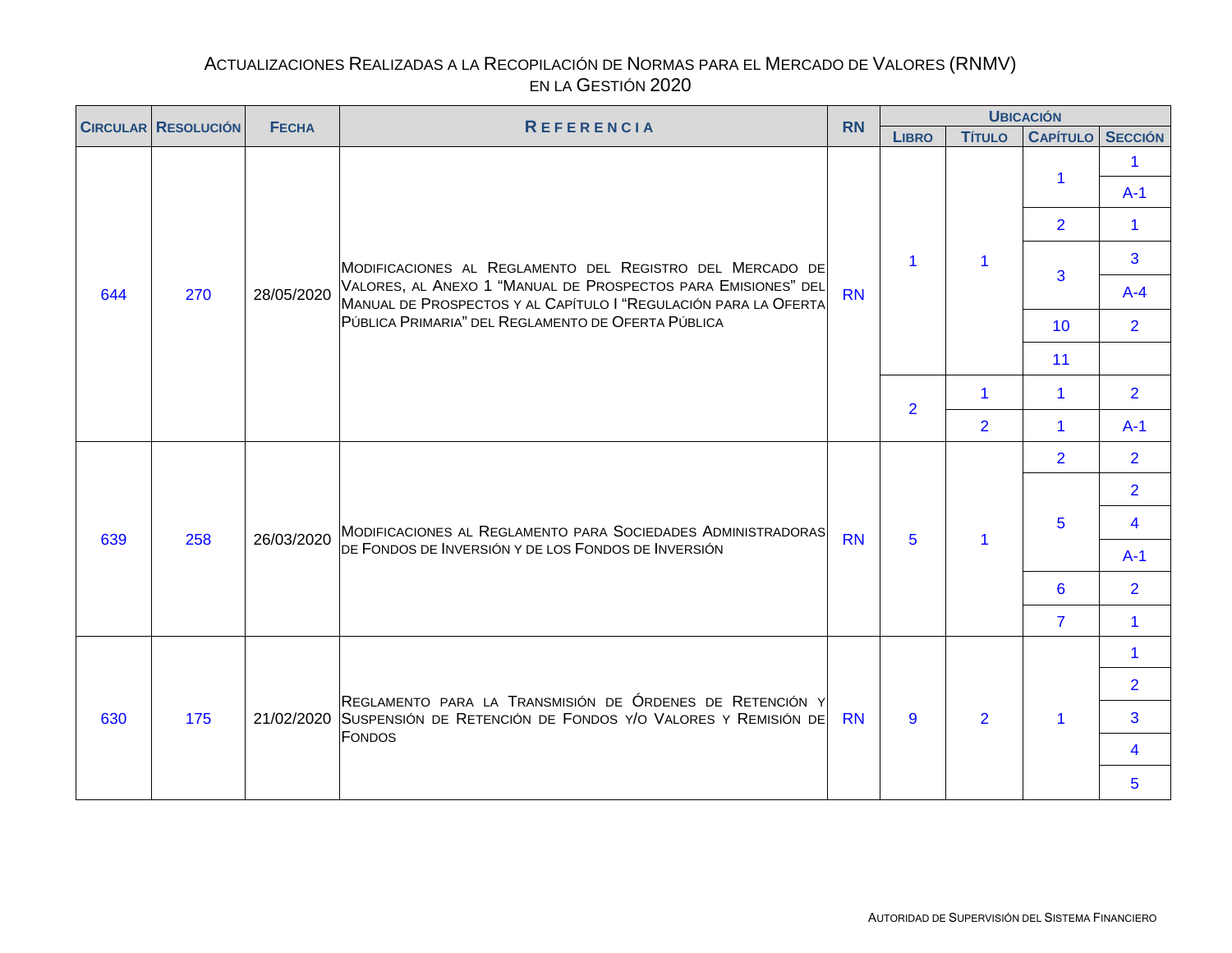<span id="page-7-0"></span>

| <b>CIRCULAR RESOLUCIÓN</b> |     | <b>FECHA</b> | <b>REFERENCIA</b>                                                                                                                | <b>RN</b> |                |                      | <b>UBICACIÓN</b>        |                               |
|----------------------------|-----|--------------|----------------------------------------------------------------------------------------------------------------------------------|-----------|----------------|----------------------|-------------------------|-------------------------------|
|                            |     |              |                                                                                                                                  |           | <b>LIBRO</b>   | <b>TÍTULO</b>        | <b>CAPÍTULO SECCIÓN</b> |                               |
|                            |     |              |                                                                                                                                  |           |                |                      | 1                       | $\blacktriangleleft$<br>$A-1$ |
|                            |     |              |                                                                                                                                  |           |                |                      | $\overline{2}$          | $\blacktriangleleft$          |
|                            |     |              | MODIFICACIONES AL REGLAMENTO DEL REGISTRO DEL MERCADO DE                                                                         |           | 1              | $\blacktriangleleft$ | 3                       | 3                             |
| 644                        | 270 | 28/05/2020   | VALORES, AL ANEXO 1 "MANUAL DE PROSPECTOS PARA EMISIONES" DEL<br>MANUAL DE PROSPECTOS Y AL CAPÍTULO I "REGULACIÓN PARA LA OFERTA | <b>RN</b> |                |                      |                         | $A-4$                         |
|                            |     |              | PÚBLICA PRIMARIA" DEL REGLAMENTO DE OFERTA PÚBLICA                                                                               |           |                |                      | 10 <sup>°</sup>         | $\overline{2}$                |
|                            |     |              |                                                                                                                                  |           |                |                      | 11                      |                               |
|                            |     |              |                                                                                                                                  |           | $\overline{2}$ | $\blacktriangleleft$ | $\blacktriangleleft$    | $\overline{2}$                |
|                            |     |              |                                                                                                                                  |           |                | $\overline{2}$       | $\blacktriangleleft$    | $A-1$                         |
|                            |     |              |                                                                                                                                  |           |                |                      | $\overline{2}$          | $\overline{2}$                |
|                            |     |              |                                                                                                                                  |           |                |                      |                         | $\overline{2}$                |
| 639                        | 258 | 26/03/2020   | MODIFICACIONES AL REGLAMENTO PARA SOCIEDADES ADMINISTRADORAS                                                                     | <b>RN</b> | 5              | $\blacktriangleleft$ | 5                       | $\overline{\mathbf{4}}$       |
|                            |     |              | DE FONDOS DE INVERSIÓN Y DE LOS FONDOS DE INVERSIÓN                                                                              |           |                |                      |                         | $A-1$                         |
|                            |     |              |                                                                                                                                  |           |                |                      | 6                       | $\overline{2}$                |
|                            |     |              |                                                                                                                                  |           |                |                      | $\overline{7}$          | $\mathbf{1}$                  |
|                            |     |              |                                                                                                                                  |           |                |                      |                         | $\blacktriangleleft$          |
|                            |     |              | REGLAMENTO PARA LA TRANSMISIÓN DE ÓRDENES DE RETENCIÓN Y                                                                         |           |                |                      |                         | $\overline{2}$                |
| 630                        | 175 |              | 21/02/2020 SUSPENSIÓN DE RETENCIÓN DE FONDOS Y/O VALORES Y REMISIÓN DE<br><b>FONDOS</b>                                          | <b>RN</b> | 9              | $\overline{2}$       | $\blacktriangleleft$    | 3 <sup>1</sup>                |
|                            |     |              |                                                                                                                                  |           |                |                      |                         | 4                             |
|                            |     |              |                                                                                                                                  |           |                |                      |                         | 5                             |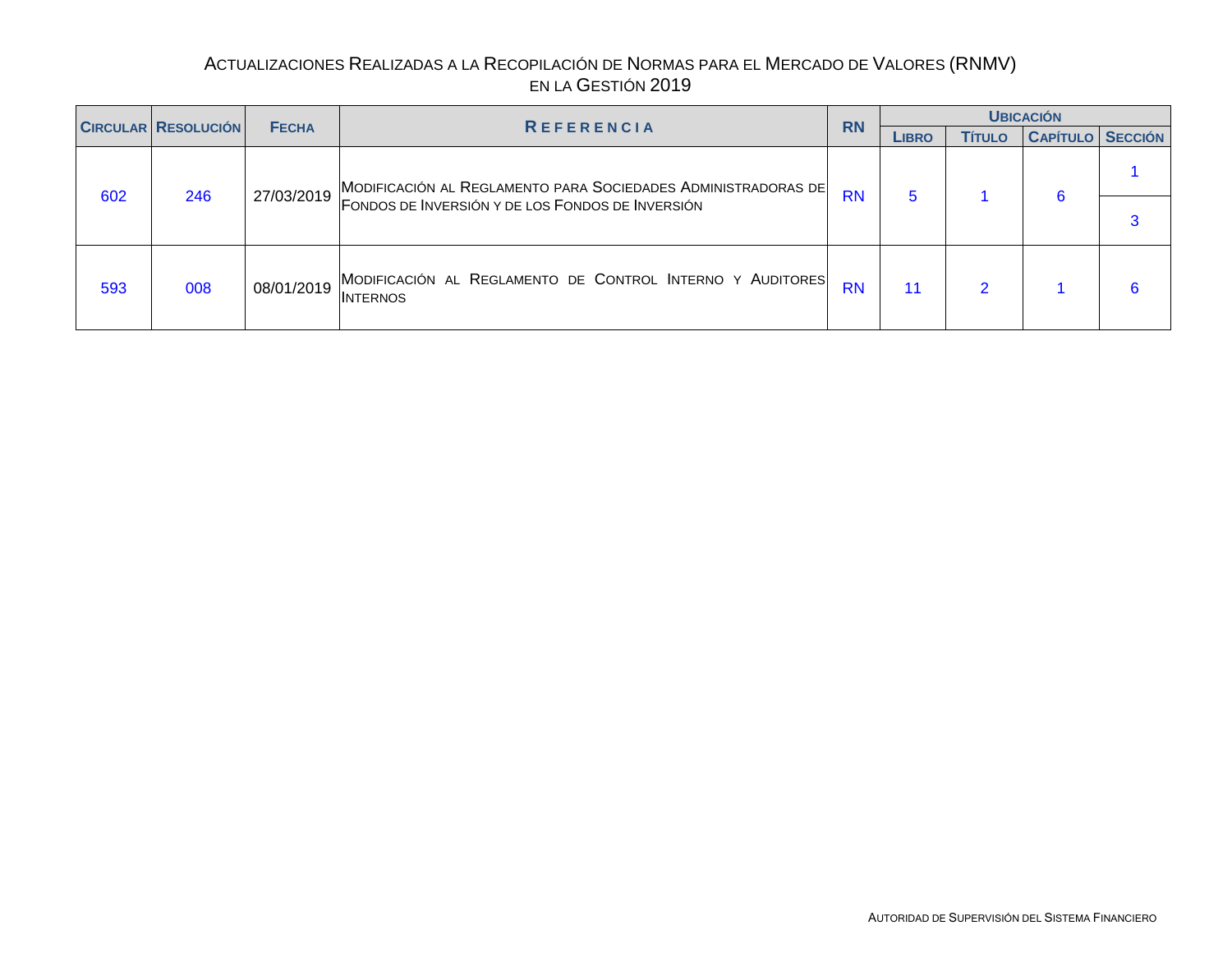<span id="page-8-0"></span>

|     |                            |              |                                                                              | <b>RN</b> |              |               | <b>UBICACIÓN</b>        |  |
|-----|----------------------------|--------------|------------------------------------------------------------------------------|-----------|--------------|---------------|-------------------------|--|
|     | <b>CIRCULAR RESOLUCIÓN</b> | <b>FECHA</b> | <b>REFERENCIA</b>                                                            |           | <b>LIBRO</b> | <b>Título</b> | <b>CAPÍTULO SECCIÓN</b> |  |
| 602 |                            | 27/03/2019   | MODIFICACIÓN AL REGLAMENTO PARA SOCIEDADES ADMINISTRADORAS DE                | <b>RN</b> |              |               |                         |  |
|     | 246                        |              | FONDOS DE INVERSIÓN Y DE LOS FONDOS DE INVERSIÓN                             |           |              |               |                         |  |
| 593 | 008                        | 08/01/2019   | MODIFICACIÓN AL REGLAMENTO DE CONTROL INTERNO Y AUDITORES<br><b>INTERNOS</b> | <b>RN</b> | 11           | റ             |                         |  |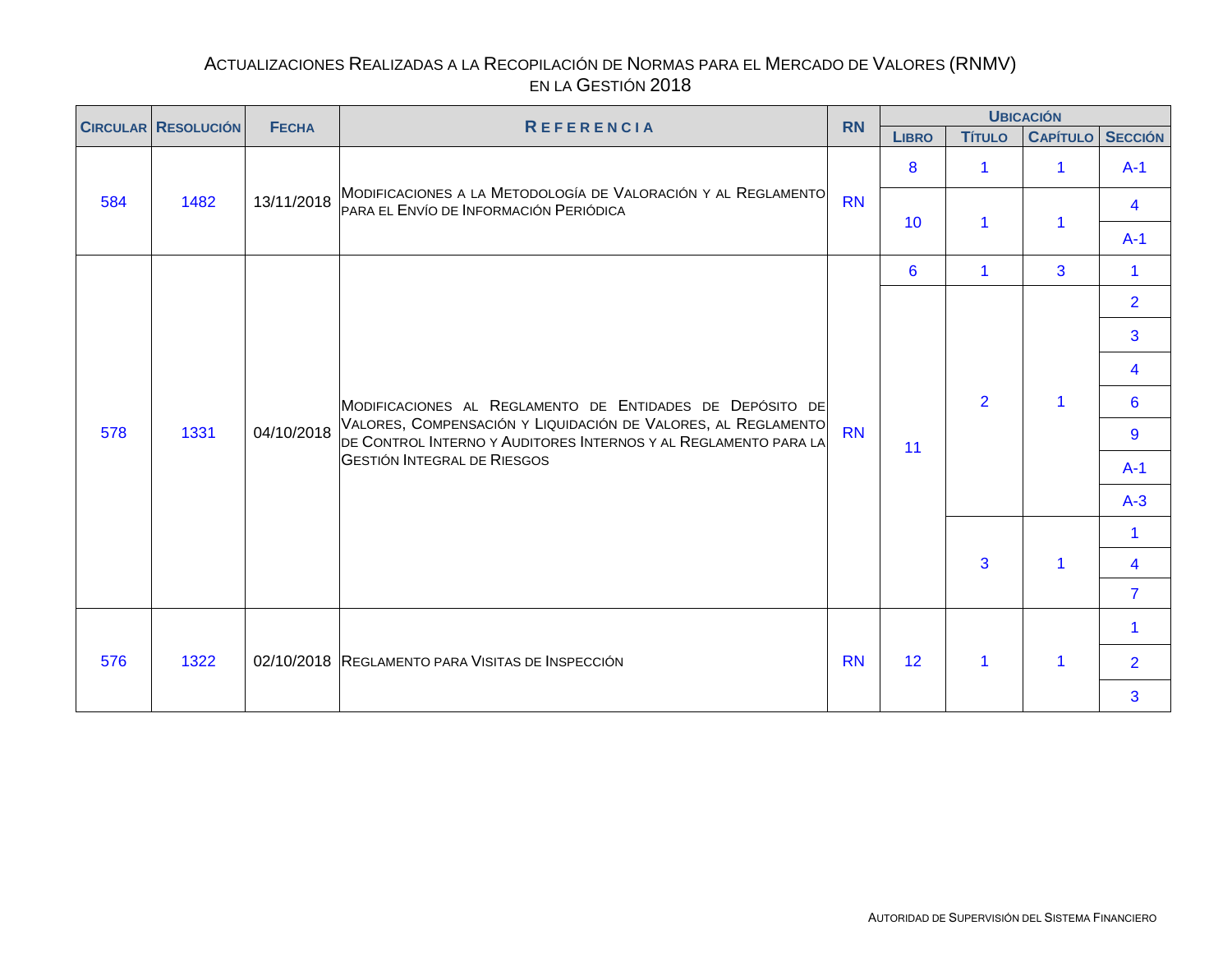<span id="page-9-0"></span>

|     | <b>CIRCULAR RESOLUCIÓN</b> | <b>FECHA</b><br><b>REFERENCIA</b> |                                                                                                                                  | <b>RN</b> |              | <b>UBICACIÓN</b>     |                 |                |  |  |  |
|-----|----------------------------|-----------------------------------|----------------------------------------------------------------------------------------------------------------------------------|-----------|--------------|----------------------|-----------------|----------------|--|--|--|
|     |                            |                                   |                                                                                                                                  |           | <b>LIBRO</b> | <b>Título</b>        | <b>CAPÍTULO</b> | <b>SECCIÓN</b> |  |  |  |
|     |                            |                                   |                                                                                                                                  |           | 8            | $\blacktriangleleft$ |                 | $A-1$          |  |  |  |
| 584 | 1482                       | 13/11/2018                        | MODIFICACIONES A LA METODOLOGÍA DE VALORACIÓN Y AL REGLAMENTO<br>PARA EL ENVÍO DE INFORMACIÓN PERIÓDICA                          | <b>RN</b> | 10           | $\blacktriangleleft$ |                 | 4              |  |  |  |
|     |                            |                                   |                                                                                                                                  |           |              |                      |                 | $A-1$          |  |  |  |
|     |                            |                                   |                                                                                                                                  |           | 6            | $\blacktriangleleft$ | 3               | 1              |  |  |  |
|     |                            |                                   |                                                                                                                                  |           |              |                      |                 | $\overline{2}$ |  |  |  |
|     |                            |                                   |                                                                                                                                  |           |              |                      |                 | 3              |  |  |  |
|     |                            |                                   |                                                                                                                                  |           |              |                      |                 | 4              |  |  |  |
|     |                            |                                   | MODIFICACIONES AL REGLAMENTO DE ENTIDADES DE DEPÓSITO DE                                                                         |           |              | $\overline{2}$       |                 | 6              |  |  |  |
| 578 | 1331                       | 04/10/2018                        | VALORES, COMPENSACIÓN Y LIQUIDACIÓN DE VALORES, AL REGLAMENTO<br>DE CONTROL INTERNO Y AUDITORES INTERNOS Y AL REGLAMENTO PARA LA | <b>RN</b> | 11           |                      |                 | 9              |  |  |  |
|     |                            |                                   | <b>GESTIÓN INTEGRAL DE RIESGOS</b>                                                                                               |           |              |                      |                 | $A-1$          |  |  |  |
|     |                            |                                   |                                                                                                                                  |           |              |                      |                 | $A-3$          |  |  |  |
|     |                            |                                   |                                                                                                                                  |           |              |                      |                 | 1              |  |  |  |
|     |                            |                                   |                                                                                                                                  |           |              | 3                    |                 | 4              |  |  |  |
|     |                            |                                   |                                                                                                                                  |           |              |                      |                 | $\overline{7}$ |  |  |  |
|     |                            |                                   |                                                                                                                                  |           |              |                      |                 |                |  |  |  |
| 576 | 1322                       |                                   | 02/10/2018 REGLAMENTO PARA VISITAS DE INSPECCIÓN                                                                                 | <b>RN</b> | 12           | $\mathbf{1}$         |                 | $\overline{2}$ |  |  |  |
|     |                            |                                   |                                                                                                                                  |           |              |                      |                 | 3              |  |  |  |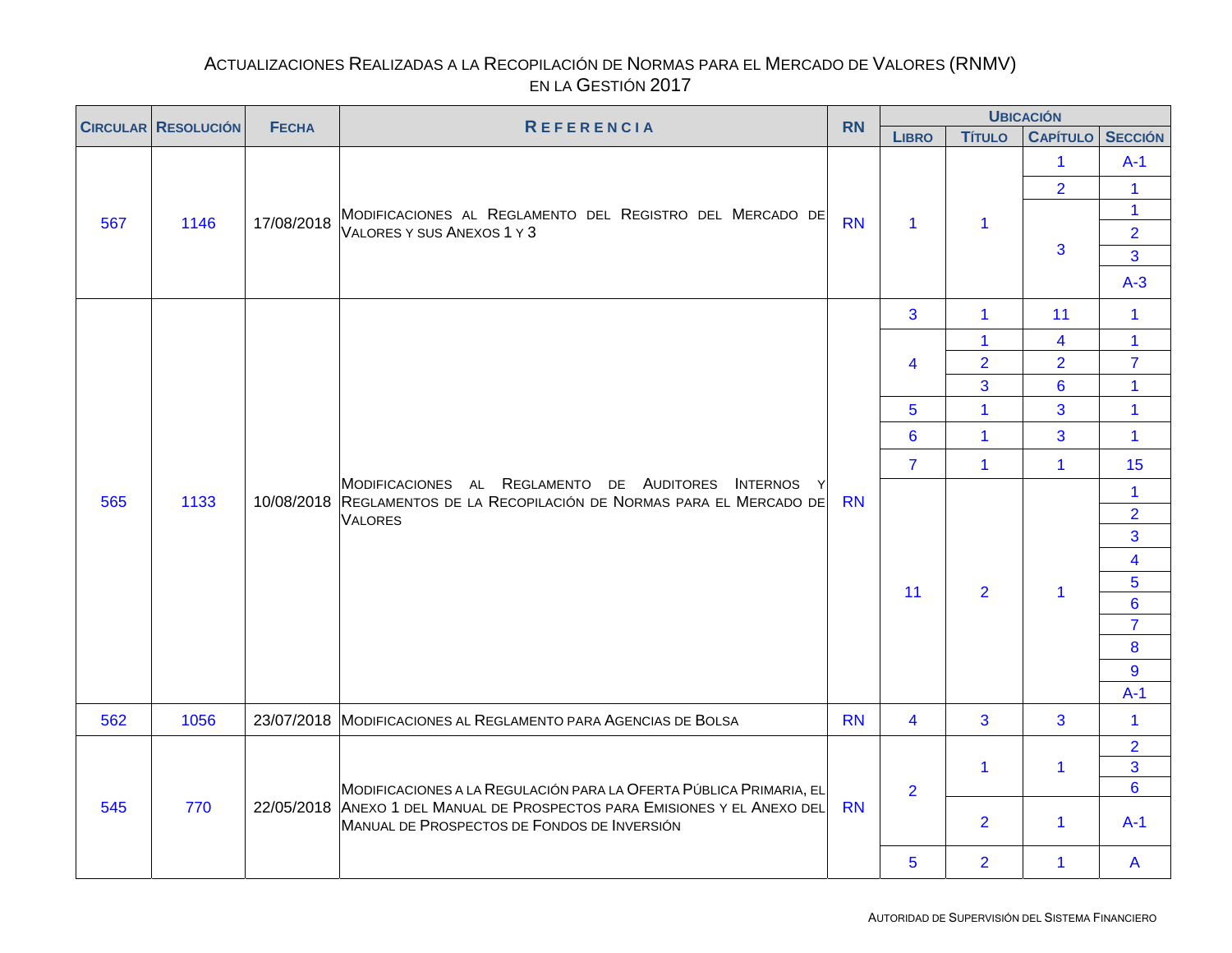<span id="page-10-0"></span>

| <b>CIRCULAR RESOLUCIÓN</b> |      |              | <b>RN</b>                                                                                                                                        | <b>UBICACIÓN</b> |                         |                |                                     |                                                                                                                            |
|----------------------------|------|--------------|--------------------------------------------------------------------------------------------------------------------------------------------------|------------------|-------------------------|----------------|-------------------------------------|----------------------------------------------------------------------------------------------------------------------------|
|                            |      | <b>FECHA</b> | <b>REFERENCIA</b>                                                                                                                                |                  | <b>LIBRO</b>            | <b>TÍTULO</b>  | <b>CAPÍTULO SECCIÓN</b>             |                                                                                                                            |
| 567                        | 1146 | 17/08/2018   | MODIFICACIONES AL REGLAMENTO DEL REGISTRO DEL MERCADO DE<br>VALORES Y SUS ANEXOS 1 Y 3                                                           | <b>RN</b>        | $\mathbf{1}$            | $\mathbf 1$    | $\mathbf{1}$<br>$\overline{2}$<br>3 | $A-1$<br>1<br>$\mathbf{1}$<br>$\overline{2}$<br>3<br>$A-3$                                                                 |
|                            |      |              |                                                                                                                                                  |                  | 3                       | $\mathbf{1}$   | 11                                  | $\mathbf{1}$                                                                                                               |
|                            |      |              |                                                                                                                                                  |                  |                         | $\mathbf{1}$   | 4                                   | $\mathbf{1}$                                                                                                               |
|                            |      |              |                                                                                                                                                  |                  | 4                       | $\overline{2}$ | $\overline{2}$                      | $\overline{7}$                                                                                                             |
|                            |      |              |                                                                                                                                                  |                  |                         | 3              | $6\phantom{a}$                      | $\mathbf{1}$                                                                                                               |
|                            |      |              |                                                                                                                                                  |                  | 5                       | $\mathbf{1}$   | 3                                   | $\mathbf{1}$                                                                                                               |
|                            |      |              |                                                                                                                                                  |                  | $6\phantom{1}$          | $\mathbf{1}$   | 3                                   | $\mathbf{1}$                                                                                                               |
|                            |      |              |                                                                                                                                                  |                  | $\overline{7}$          | $\mathbf{1}$   | $\mathbf{1}$                        | 15                                                                                                                         |
| 565                        | 1133 |              | MODIFICACIONES AL REGLAMENTO DE AUDITORES INTERNOS Y<br>10/08/2018 REGLAMENTOS DE LA RECOPILACIÓN DE NORMAS PARA EL MERCADO DE<br><b>VALORES</b> | <b>RN</b>        | 11                      | $\overline{2}$ | 1                                   | $\mathbf{1}$<br>$\overline{2}$<br>3<br>$\overline{\mathbf{4}}$<br>5<br>$6\phantom{a}$<br>$\overline{7}$<br>8<br>9<br>$A-1$ |
| 562                        | 1056 |              | 23/07/2018 MODIFICACIONES AL REGLAMENTO PARA AGENCIAS DE BOLSA                                                                                   | <b>RN</b>        | $\overline{\mathbf{4}}$ | 3              | $\overline{3}$                      | $\mathbf{1}$                                                                                                               |
|                            |      |              | MODIFICACIONES A LA REGULACIÓN PARA LA OFERTA PÚBLICA PRIMARIA, EL                                                                               |                  | $\overline{2}$          | $\mathbf 1$    | $\mathbf{1}$                        | $\overline{2}$<br>$\overline{3}$<br>$6\phantom{a}$                                                                         |
| 545                        | 770  |              | 22/05/2018 ANEXO 1 DEL MANUAL DE PROSPECTOS PARA EMISIONES Y EL ANEXO DEL<br>MANUAL DE PROSPECTOS DE FONDOS DE INVERSIÓN                         | <b>RN</b>        |                         | $\overline{2}$ | $\mathbf{1}$                        | $A-1$                                                                                                                      |
|                            |      |              |                                                                                                                                                  |                  | 5                       | $\overline{2}$ | $\mathbf 1$                         | A                                                                                                                          |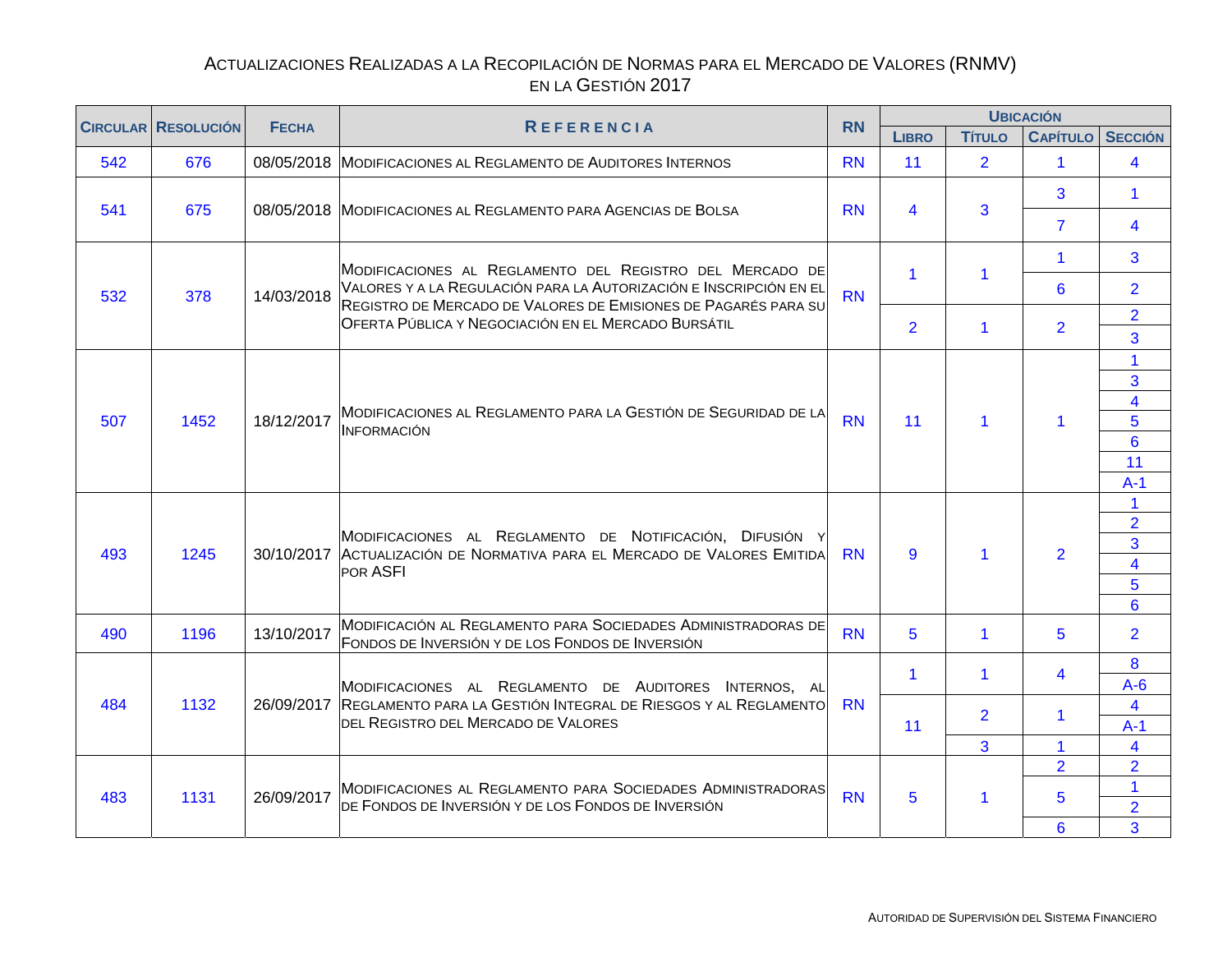<span id="page-11-0"></span>

| <b>CIRCULAR RESOLUCIÓN</b> |      | <b>FECHA</b> |                                                                                                                                      | <b>RN</b> |                |                      | <b>UBICACIÓN</b>                                                                                                                                                                                                                                                       |                |
|----------------------------|------|--------------|--------------------------------------------------------------------------------------------------------------------------------------|-----------|----------------|----------------------|------------------------------------------------------------------------------------------------------------------------------------------------------------------------------------------------------------------------------------------------------------------------|----------------|
|                            |      |              | <b>REFERENCIA</b>                                                                                                                    |           | <b>LIBRO</b>   | <b>Título</b>        |                                                                                                                                                                                                                                                                        |                |
| 542                        | 676  |              | 08/05/2018 MODIFICACIONES AL REGLAMENTO DE AUDITORES INTERNOS                                                                        | <b>RN</b> | 11             | $\overline{2}$       | $\mathbf{1}$                                                                                                                                                                                                                                                           | $\overline{4}$ |
| 541                        | 675  |              | 08/05/2018 MODIFICACIONES AL REGLAMENTO PARA AGENCIAS DE BOLSA                                                                       | <b>RN</b> | 4              | 3                    | 3                                                                                                                                                                                                                                                                      | $\mathbf{1}$   |
|                            |      |              |                                                                                                                                      |           |                |                      | $\overline{7}$                                                                                                                                                                                                                                                         | 4              |
|                            |      |              | MODIFICACIONES AL REGLAMENTO DEL REGISTRO DEL MERCADO DE                                                                             |           | $\mathbf{1}$   | 1                    | <b>CAPÍTULO SECCIÓN</b><br>$\mathbf{1}$<br>6<br>$\overline{2}$<br>3<br>$\overline{\mathbf{4}}$<br>$\blacktriangleleft$<br>11<br>$\overline{2}$<br>$\overline{2}$<br>5<br>5<br>4<br>1.<br>$\blacktriangleleft$<br>2 <sup>1</sup><br>$\overline{2}$<br>$\mathbf{1}$<br>5 | 3              |
| 532                        | 378  | 14/03/2018   | VALORES Y A LA REGULACIÓN PARA LA AUTORIZACIÓN E INSCRIPCIÓN EN EL<br>REGISTRO DE MERCADO DE VALORES DE EMISIONES DE PAGARÉS PARA SU | <b>RN</b> |                |                      |                                                                                                                                                                                                                                                                        | $\overline{2}$ |
|                            |      |              | OFERTA PÚBLICA Y NEGOCIACIÓN EN EL MERCADO BURSÁTIL                                                                                  |           | $\overline{2}$ | $\blacktriangleleft$ |                                                                                                                                                                                                                                                                        | $\overline{2}$ |
|                            |      |              |                                                                                                                                      |           |                |                      |                                                                                                                                                                                                                                                                        | 1              |
|                            |      |              |                                                                                                                                      |           |                |                      |                                                                                                                                                                                                                                                                        | $\overline{3}$ |
| 507                        | 1452 | 18/12/2017   | MODIFICACIONES AL REGLAMENTO PARA LA GESTIÓN DE SEGURIDAD DE LA<br><b>INFORMACIÓN</b>                                                | <b>RN</b> | 11             | $\blacktriangleleft$ |                                                                                                                                                                                                                                                                        | 5              |
|                            |      |              |                                                                                                                                      |           |                |                      |                                                                                                                                                                                                                                                                        | $6\phantom{a}$ |
|                            |      |              |                                                                                                                                      |           |                |                      |                                                                                                                                                                                                                                                                        | $A-1$          |
|                            |      |              |                                                                                                                                      |           |                |                      |                                                                                                                                                                                                                                                                        |                |
| 493                        | 1245 |              | MODIFICACIONES AL REGLAMENTO DE NOTIFICACIÓN, DIFUSIÓN Y<br>30/10/2017 ACTUALIZACIÓN DE NORMATIVA PARA EL MERCADO DE VALORES EMITIDA | <b>RN</b> | 9              | 1                    |                                                                                                                                                                                                                                                                        | 3              |
|                            |      |              | POR ASFI                                                                                                                             |           |                |                      |                                                                                                                                                                                                                                                                        | 4              |
|                            |      |              |                                                                                                                                      |           |                |                      |                                                                                                                                                                                                                                                                        | $6\phantom{1}$ |
| 490                        | 1196 | 13/10/2017   | MODIFICACIÓN AL REGLAMENTO PARA SOCIEDADES ADMINISTRADORAS DE<br>FONDOS DE INVERSIÓN Y DE LOS FONDOS DE INVERSIÓN                    | <b>RN</b> | 5              | $\blacktriangleleft$ |                                                                                                                                                                                                                                                                        | $\overline{2}$ |
|                            |      |              |                                                                                                                                      |           | $\mathbf 1$    | $\mathbf 1$          |                                                                                                                                                                                                                                                                        | 8<br>$A-6$     |
| 484                        | 1132 |              | MODIFICACIONES AL REGLAMENTO DE AUDITORES INTERNOS, AL<br>26/09/2017 REGLAMENTO PARA LA GESTIÓN INTEGRAL DE RIESGOS Y AL REGLAMENTO  | <b>RN</b> |                | $\overline{2}$       |                                                                                                                                                                                                                                                                        | 4              |
|                            |      |              | DEL REGISTRO DEL MERCADO DE VALORES                                                                                                  |           | 11             |                      |                                                                                                                                                                                                                                                                        | $A-1$          |
|                            |      |              |                                                                                                                                      |           |                | 3                    |                                                                                                                                                                                                                                                                        | 4              |
| 483                        |      |              | MODIFICACIONES AL REGLAMENTO PARA SOCIEDADES ADMINISTRADORAS                                                                         |           |                |                      |                                                                                                                                                                                                                                                                        |                |
|                            | 1131 | 26/09/2017   | DE FONDOS DE INVERSIÓN Y DE LOS FONDOS DE INVERSIÓN                                                                                  | <b>RN</b> | 5              | $\mathbf{1}$         |                                                                                                                                                                                                                                                                        | $\overline{2}$ |
|                            |      |              |                                                                                                                                      |           |                |                      | 6                                                                                                                                                                                                                                                                      | 3              |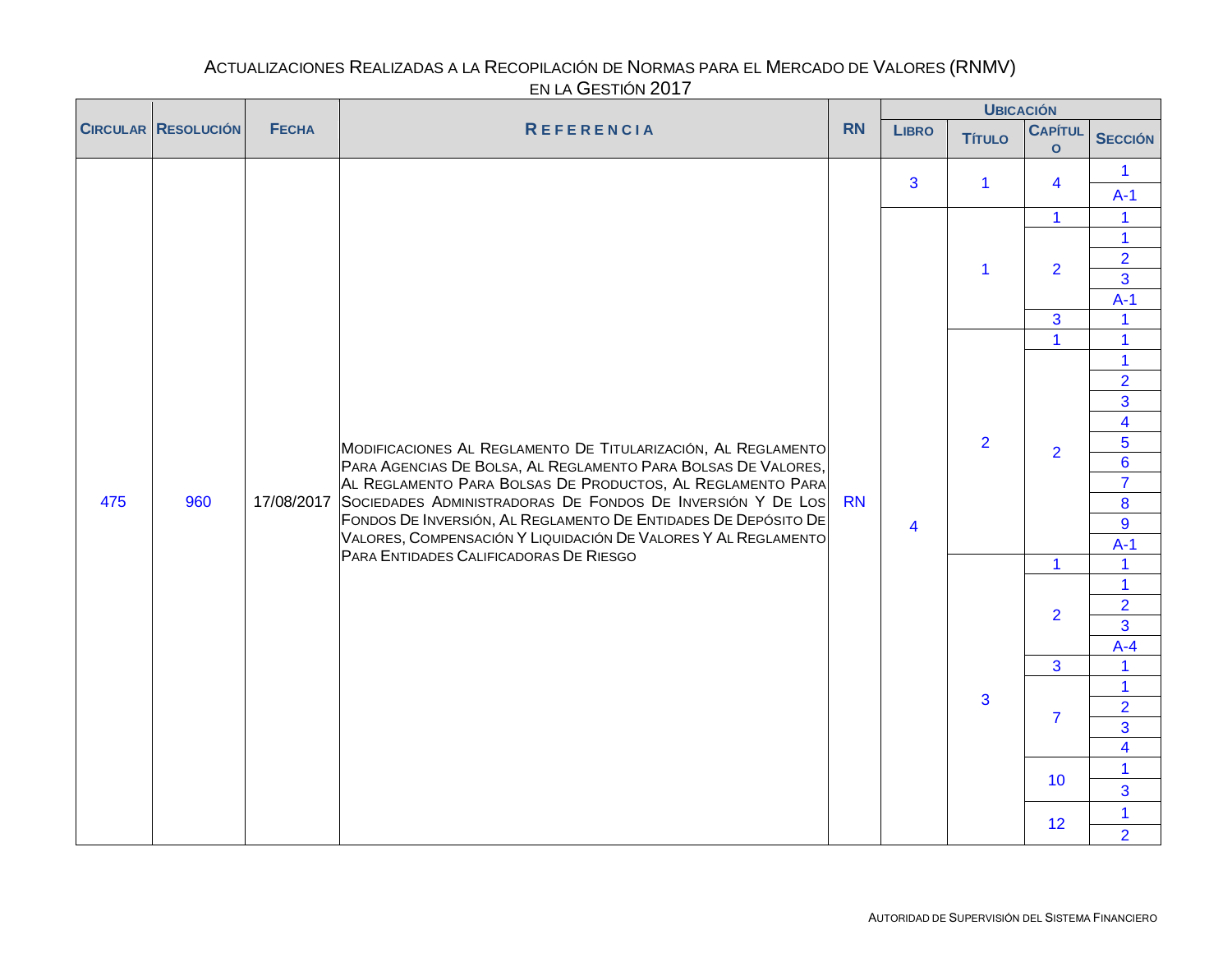<span id="page-12-0"></span>

|     |                            |              |                                                                                                                                                                                              |           |                         | <b>UBICACIÓN</b> |                           |                                  |                |
|-----|----------------------------|--------------|----------------------------------------------------------------------------------------------------------------------------------------------------------------------------------------------|-----------|-------------------------|------------------|---------------------------|----------------------------------|----------------|
|     | <b>CIRCULAR RESOLUCIÓN</b> | <b>FECHA</b> | REFERENCIA                                                                                                                                                                                   | <b>RN</b> | <b>LIBRO</b>            | <b>Título</b>    | <b>CAPÍTUL</b><br>$\circ$ | <b>SECCIÓN</b>                   |                |
|     |                            |              |                                                                                                                                                                                              |           | 3                       | $\mathbf{1}$     | 4                         | $\mathbf 1$<br>$A-1$             |                |
|     |                            |              |                                                                                                                                                                                              |           |                         |                  | $\mathbf{1}$              | $\mathbf{1}$                     |                |
|     |                            |              |                                                                                                                                                                                              |           |                         |                  |                           | $\mathbf{1}$                     |                |
|     |                            |              |                                                                                                                                                                                              |           |                         | $\mathbf{1}$     | $\overline{2}$            | $\overline{2}$                   |                |
|     |                            |              |                                                                                                                                                                                              |           |                         |                  |                           | $\overline{3}$                   |                |
|     |                            |              |                                                                                                                                                                                              |           |                         |                  |                           | $A-1$                            |                |
|     |                            |              |                                                                                                                                                                                              |           |                         |                  | 3                         | $\mathbf 1$                      |                |
|     |                            |              |                                                                                                                                                                                              |           |                         |                  | $\mathbf{1}$              | $\overline{\mathbf{1}}$          |                |
|     |                            |              |                                                                                                                                                                                              |           |                         |                  |                           | $\mathbf{1}$                     |                |
|     |                            |              |                                                                                                                                                                                              |           |                         |                  |                           |                                  | $\overline{2}$ |
|     |                            |              |                                                                                                                                                                                              |           |                         |                  |                           | 3<br>$\overline{4}$              |                |
|     |                            |              | MODIFICACIONES AL REGLAMENTO DE TITULARIZACIÓN, AL REGLAMENTO<br>PARA AGENCIAS DE BOLSA, AL REGLAMENTO PARA BOLSAS DE VALORES,<br>AL REGLAMENTO PARA BOLSAS DE PRODUCTOS, AL REGLAMENTO PARA |           |                         | $\overline{2}$   |                           | $\overline{5}$                   |                |
|     |                            |              |                                                                                                                                                                                              |           |                         |                  | $\overline{2}$            | $\overline{6}$                   |                |
|     |                            |              |                                                                                                                                                                                              | <b>RN</b> |                         |                  |                           | $\overline{7}$                   |                |
| 475 | 960                        |              | 17/08/2017 SOCIEDADES ADMINISTRADORAS DE FONDOS DE INVERSIÓN Y DE LOS                                                                                                                        |           |                         |                  |                           | 8                                |                |
|     |                            |              | FONDOS DE INVERSIÓN, AL REGLAMENTO DE ENTIDADES DE DEPÓSITO DE                                                                                                                               |           | $\overline{\mathbf{4}}$ |                  |                           | 9                                |                |
|     |                            |              | VALORES, COMPENSACIÓN Y LIQUIDACIÓN DE VALORES Y AL REGLAMENTO                                                                                                                               |           |                         |                  |                           | $A-1$                            |                |
|     |                            |              | PARA ENTIDADES CALIFICADORAS DE RIESGO                                                                                                                                                       |           |                         |                  | $\mathbf{1}$              | 1                                |                |
|     |                            |              |                                                                                                                                                                                              |           |                         |                  |                           | 1                                |                |
|     |                            |              |                                                                                                                                                                                              |           |                         |                  | $\overline{2}$            | $\overline{2}$                   |                |
|     |                            |              |                                                                                                                                                                                              |           |                         |                  |                           | $\overline{3}$                   |                |
|     |                            |              |                                                                                                                                                                                              |           |                         |                  |                           | $A-4$                            |                |
|     |                            |              |                                                                                                                                                                                              |           |                         |                  | 3                         | $\mathbf{1}$                     |                |
|     |                            |              |                                                                                                                                                                                              |           |                         | 3                |                           | $\mathbf{1}$                     |                |
|     |                            |              |                                                                                                                                                                                              |           |                         |                  | $\overline{7}$            | $\overline{2}$                   |                |
|     |                            |              |                                                                                                                                                                                              |           |                         |                  |                           | $\overline{3}$<br>$\overline{4}$ |                |
|     |                            |              |                                                                                                                                                                                              |           |                         |                  |                           |                                  |                |
|     |                            |              |                                                                                                                                                                                              |           |                         |                  | 10 <sup>°</sup>           | $\mathbf{1}$<br>$\overline{3}$   |                |
|     |                            |              |                                                                                                                                                                                              |           |                         |                  | 12 <sup>°</sup>           | $\mathbf{1}$<br>$\overline{2}$   |                |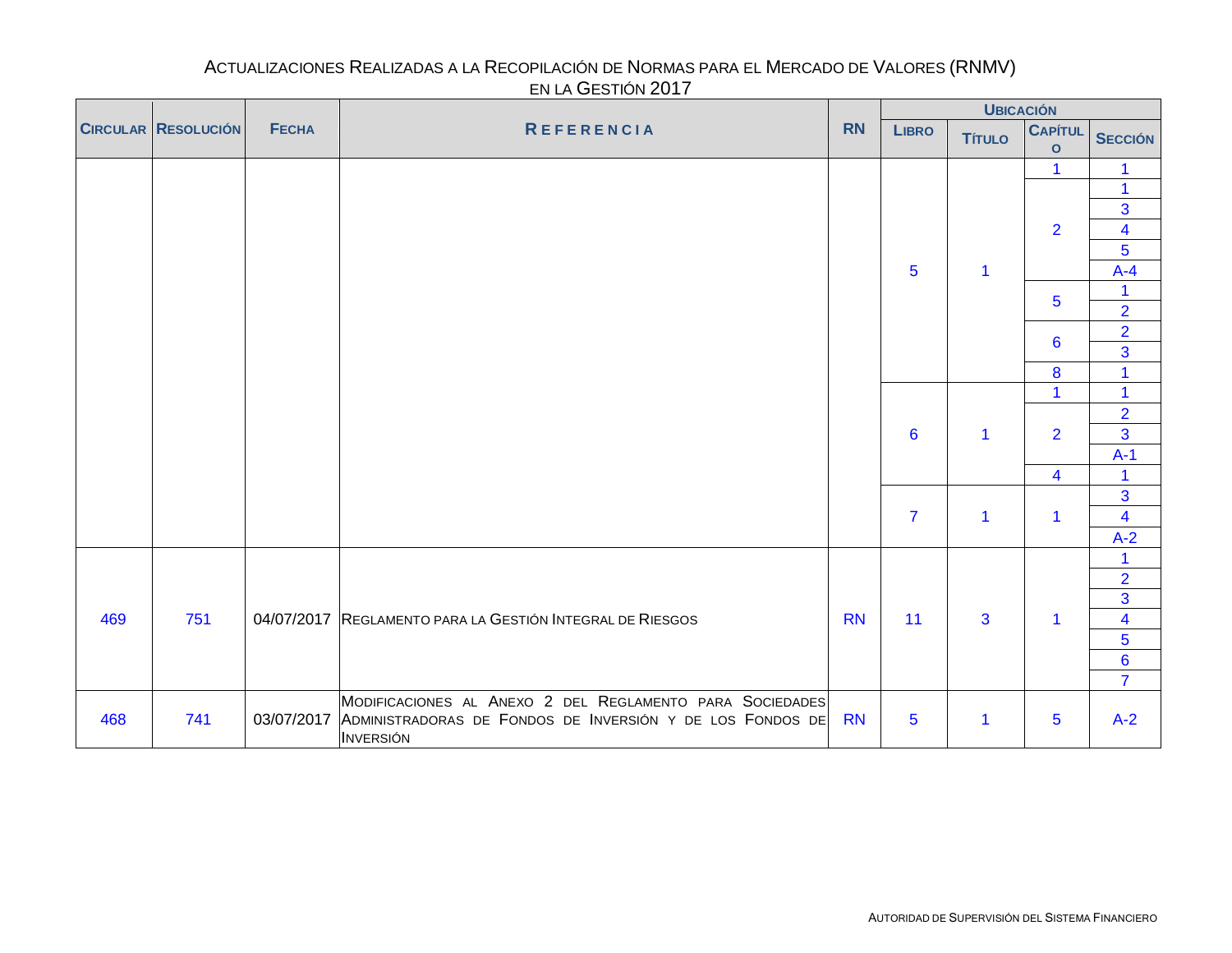<span id="page-13-0"></span>

|     |                            |              |                                                                      |           |                 | <b>UBICACIÓN</b> |                                |                         |
|-----|----------------------------|--------------|----------------------------------------------------------------------|-----------|-----------------|------------------|--------------------------------|-------------------------|
|     | <b>CIRCULAR RESOLUCIÓN</b> | <b>FECHA</b> | <b>REFERENCIA</b>                                                    | <b>RN</b> | <b>LIBRO</b>    | <b>Título</b>    | <b>CAPÍTUL</b><br>$\mathbf{o}$ | <b>SECCIÓN</b>          |
|     |                            |              |                                                                      |           |                 |                  | $\blacktriangleleft$           | 1                       |
|     |                            |              |                                                                      |           |                 |                  |                                | $\overline{1}$          |
|     |                            |              |                                                                      |           |                 |                  |                                | $\overline{\mathbf{3}}$ |
|     |                            |              |                                                                      |           |                 |                  | $\overline{2}$                 | $\overline{\mathbf{4}}$ |
|     |                            |              |                                                                      |           |                 |                  |                                | 5                       |
|     |                            |              |                                                                      |           | 5               | $\mathbf 1$      |                                | $A-4$                   |
|     |                            |              |                                                                      |           |                 |                  | $\overline{5}$                 | $\mathbf{1}$            |
|     |                            |              |                                                                      |           |                 |                  |                                | $\overline{2}$          |
|     |                            |              |                                                                      |           |                 |                  | 6                              | $\overline{2}$          |
|     |                            |              |                                                                      |           |                 |                  |                                | $\overline{3}$          |
|     |                            |              |                                                                      |           |                 |                  | $\bf{8}$                       | $\mathbf{1}$            |
|     |                            |              |                                                                      |           |                 |                  | $\blacktriangleleft$           | $\mathbf{1}$            |
|     |                            |              |                                                                      |           |                 |                  |                                | $\overline{2}$          |
|     |                            |              |                                                                      |           | $6\phantom{1}6$ | 1                | $\overline{2}$                 | 3                       |
|     |                            |              |                                                                      |           |                 |                  |                                | $A-1$                   |
|     |                            |              |                                                                      |           |                 |                  | $\overline{\mathbf{4}}$        | $\mathbf{1}$            |
|     |                            |              |                                                                      |           |                 |                  |                                | 3                       |
|     |                            |              |                                                                      |           | $\overline{7}$  | $\mathbf{1}$     | $\mathbf{1}$                   | $\overline{\mathbf{4}}$ |
|     |                            |              |                                                                      |           |                 |                  |                                | $A-2$                   |
|     |                            |              |                                                                      |           |                 |                  |                                | $\mathbf{1}$            |
|     |                            |              |                                                                      |           |                 |                  |                                | $\frac{2}{3}$           |
|     |                            |              |                                                                      |           |                 |                  |                                |                         |
| 469 | 751                        |              | 04/07/2017 REGLAMENTO PARA LA GESTIÓN INTEGRAL DE RIESGOS            | <b>RN</b> | 11              | 3                | $\mathbf{1}$                   | $\overline{\mathbf{4}}$ |
|     |                            |              |                                                                      |           |                 |                  |                                | $\frac{5}{6}$           |
|     |                            |              |                                                                      |           |                 |                  |                                |                         |
|     |                            |              |                                                                      |           |                 |                  |                                | $\overline{7}$          |
|     |                            |              | MODIFICACIONES AL ANEXO 2 DEL REGLAMENTO PARA SOCIEDADES             |           |                 |                  |                                |                         |
| 468 | 741                        |              | 03/07/2017 ADMINISTRADORAS DE FONDOS DE INVERSIÓN Y DE LOS FONDOS DE | <b>RN</b> | 5               | 1                | $\overline{5}$                 | $A-2$                   |
|     |                            |              | <b>INVERSIÓN</b>                                                     |           |                 |                  |                                |                         |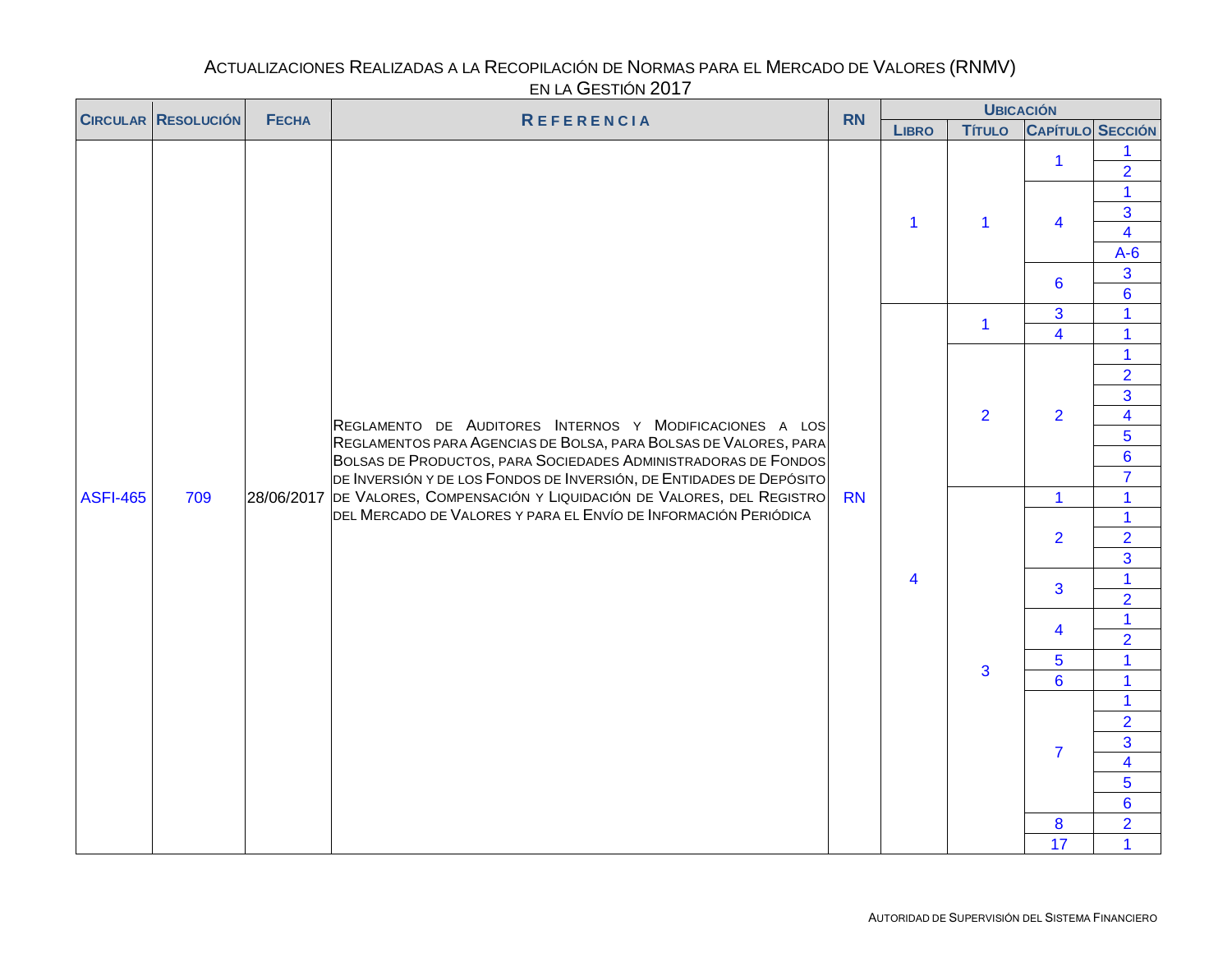#### ACTUALIZACIONES REALIZADAS A LA RECOPILACIÓN DE NORMAS PARA EL MERCADO DE VALORES (RNMV) EN LA GESTIÓN 2017  $\overline{\phantom{a}}$

<span id="page-14-0"></span>

|                 | <b>CIRCULAR RESOLUCIÓN</b> | <b>FECHA</b> | LITER OLUTION LUTT<br><b>REFERENCIA</b>                                                                                                       | <b>RN</b> |                | <b>UBICACIÓN</b> |                                                                                                                                                 |                                  |
|-----------------|----------------------------|--------------|-----------------------------------------------------------------------------------------------------------------------------------------------|-----------|----------------|------------------|-------------------------------------------------------------------------------------------------------------------------------------------------|----------------------------------|
|                 |                            |              |                                                                                                                                               |           | <b>LIBRO</b>   | <b>Título</b>    | <b>CAPÍTULO SECCIÓN</b>                                                                                                                         |                                  |
|                 |                            |              |                                                                                                                                               |           |                |                  | $\mathbf{1}$                                                                                                                                    | $\overline{2}$                   |
|                 |                            |              |                                                                                                                                               |           | $\overline{1}$ | $\mathbf{1}$     | $\overline{\mathbf{4}}$                                                                                                                         | $\mathbf{1}$<br>$\overline{3}$   |
|                 |                            |              |                                                                                                                                               |           |                |                  |                                                                                                                                                 | $\overline{\mathbf{4}}$<br>$A-6$ |
|                 |                            |              |                                                                                                                                               |           |                |                  | $6\phantom{a}$                                                                                                                                  | $\overline{3}$<br>$6\phantom{a}$ |
|                 |                            |              |                                                                                                                                               |           |                | $\mathbf{1}$     |                                                                                                                                                 | $\overline{1}$                   |
|                 |                            |              |                                                                                                                                               |           |                |                  |                                                                                                                                                 | $\mathbf{1}$                     |
|                 |                            |              |                                                                                                                                               |           |                |                  |                                                                                                                                                 | $\mathbf 1$<br>$\overline{2}$    |
|                 |                            |              |                                                                                                                                               |           |                |                  |                                                                                                                                                 | $\overline{3}$                   |
|                 |                            |              | REGLAMENTO DE AUDITORES INTERNOS Y MODIFICACIONES A LOS<br>REGLAMENTOS PARA AGENCIAS DE BOLSA, PARA BOLSAS DE VALORES, PARA                   |           |                | $\overline{2}$   | $\overline{2}$                                                                                                                                  | $\overline{\mathbf{4}}$          |
|                 |                            |              |                                                                                                                                               |           |                |                  |                                                                                                                                                 | 5                                |
|                 |                            |              | BOLSAS DE PRODUCTOS, PARA SOCIEDADES ADMINISTRADORAS DE FONDOS                                                                                |           |                |                  |                                                                                                                                                 | $6\phantom{a}$                   |
|                 |                            |              | DE INVERSIÓN Y DE LOS FONDOS DE INVERSIÓN, DE ENTIDADES DE DEPÓSITO                                                                           |           |                |                  |                                                                                                                                                 | $\overline{7}$                   |
| <b>ASFI-465</b> | 709                        |              | 28/06/2017 DE VALORES, COMPENSACIÓN Y LIQUIDACIÓN DE VALORES, DEL REGISTRO<br>DEL MERCADO DE VALORES Y PARA EL ENVÍO DE INFORMACIÓN PERIÓDICA | <b>RN</b> |                |                  |                                                                                                                                                 | $\overline{1}$<br>$\overline{1}$ |
|                 |                            |              |                                                                                                                                               |           |                |                  |                                                                                                                                                 | $\overline{2}$                   |
|                 |                            |              |                                                                                                                                               |           |                |                  |                                                                                                                                                 | $\overline{3}$                   |
|                 |                            |              |                                                                                                                                               |           | 4              |                  |                                                                                                                                                 | $\mathbf{1}$                     |
|                 |                            |              |                                                                                                                                               |           |                |                  |                                                                                                                                                 | $\overline{2}$                   |
|                 |                            |              |                                                                                                                                               |           |                |                  |                                                                                                                                                 | $\mathbf{1}$                     |
|                 |                            |              |                                                                                                                                               |           |                |                  | 3<br>$\overline{4}$<br>$\mathbf{1}$<br>$\overline{2}$<br>3<br>4<br>$\overline{5}$<br>$\overline{6}$<br>$\overline{7}$<br>$\boldsymbol{8}$<br>17 | $\overline{2}$                   |
|                 |                            |              |                                                                                                                                               |           |                | $\mathbf{3}$     |                                                                                                                                                 | $\mathbf{1}$                     |
|                 |                            |              |                                                                                                                                               |           |                |                  |                                                                                                                                                 | $\mathbf{1}$                     |
|                 |                            |              |                                                                                                                                               |           |                |                  |                                                                                                                                                 | $\mathbf{1}$<br>$\overline{2}$   |
|                 |                            |              |                                                                                                                                               |           |                |                  |                                                                                                                                                 | $\overline{3}$                   |
|                 |                            |              |                                                                                                                                               |           |                |                  |                                                                                                                                                 | $\overline{\mathbf{4}}$          |
|                 |                            |              |                                                                                                                                               |           |                |                  |                                                                                                                                                 | 5                                |
|                 |                            |              |                                                                                                                                               |           |                |                  |                                                                                                                                                 | $6\phantom{a}$                   |
|                 |                            |              |                                                                                                                                               |           |                |                  |                                                                                                                                                 | $\overline{2}$                   |
|                 |                            |              |                                                                                                                                               |           |                |                  |                                                                                                                                                 | $\overline{1}$                   |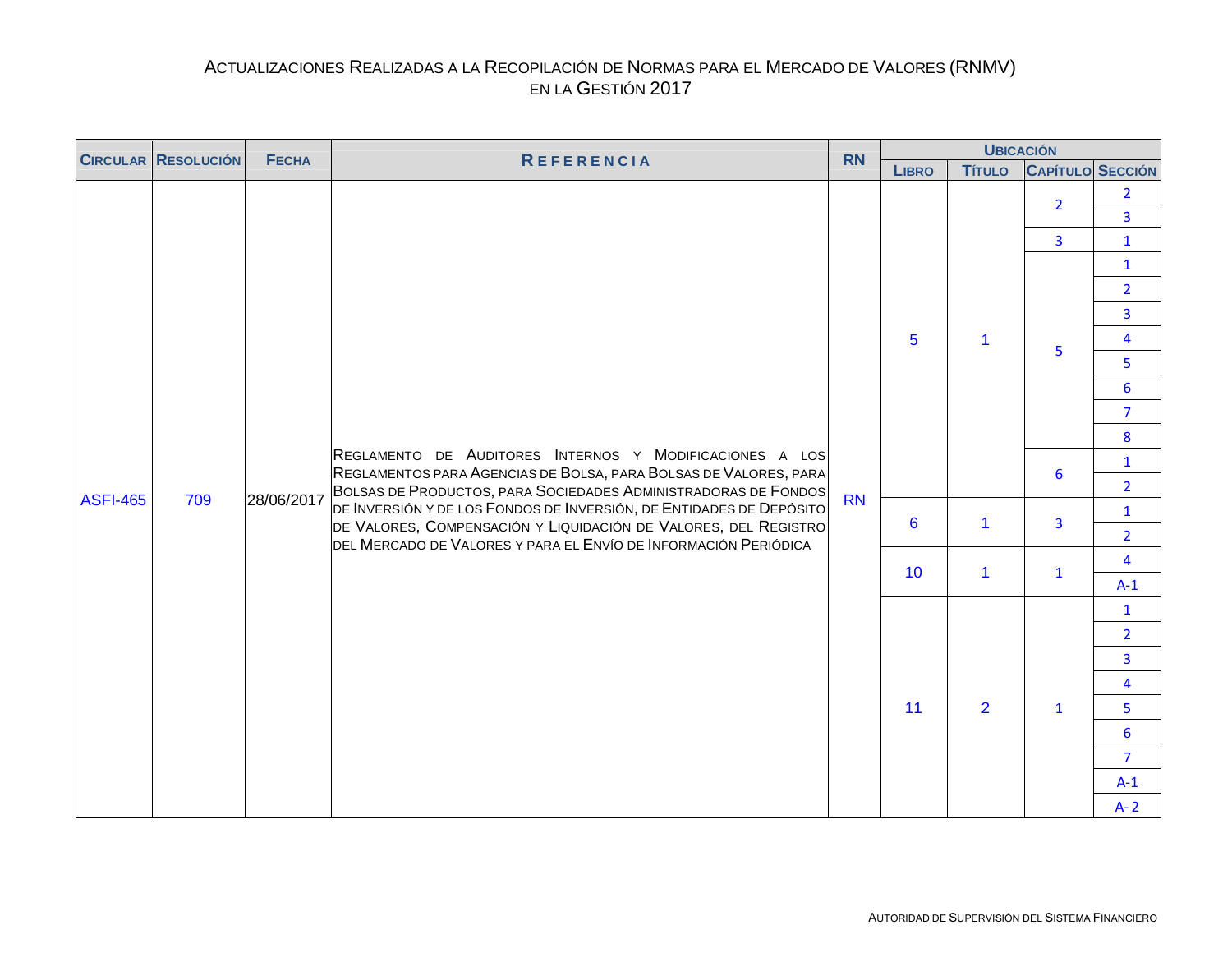<span id="page-15-0"></span>

|                 | <b>CIRCULAR RESOLUCIÓN</b> | <b>FECHA</b> | <b>REFERENCIA</b>                                                                                                                      | <b>RN</b> |                 | <b>UBICACIÓN</b> |                         |                                  |  |  |
|-----------------|----------------------------|--------------|----------------------------------------------------------------------------------------------------------------------------------------|-----------|-----------------|------------------|-------------------------|----------------------------------|--|--|
|                 |                            |              |                                                                                                                                        |           | <b>LIBRO</b>    | <b>Título</b>    | <b>CAPÍTULO SECCIÓN</b> |                                  |  |  |
|                 |                            |              |                                                                                                                                        |           |                 |                  | $\overline{2}$          | $\overline{2}$<br>$\overline{3}$ |  |  |
|                 |                            |              |                                                                                                                                        |           |                 |                  | $\overline{3}$          | $\mathbf{1}$                     |  |  |
|                 |                            |              |                                                                                                                                        |           |                 |                  |                         | $\mathbf{1}$                     |  |  |
|                 |                            |              |                                                                                                                                        |           |                 |                  |                         | $\overline{2}$                   |  |  |
|                 |                            |              |                                                                                                                                        |           |                 |                  |                         | $\overline{\mathbf{3}}$          |  |  |
|                 |                            |              |                                                                                                                                        |           | $5\phantom{1}$  | $\mathbf{1}$     |                         | $\overline{\mathbf{4}}$          |  |  |
|                 |                            |              |                                                                                                                                        |           |                 |                  | 5                       | 5                                |  |  |
|                 |                            |              |                                                                                                                                        |           |                 |                  |                         | $6\overline{6}$                  |  |  |
|                 |                            |              |                                                                                                                                        |           |                 |                  |                         | $\overline{7}$                   |  |  |
|                 |                            |              | REGLAMENTO DE AUDITORES INTERNOS Y MODIFICACIONES A LOS<br>REGLAMENTOS PARA AGENCIAS DE BOLSA, PARA BOLSAS DE VALORES, PARA            |           |                 |                  |                         | 8                                |  |  |
|                 |                            |              |                                                                                                                                        |           |                 |                  | 6                       | $\mathbf{1}$                     |  |  |
| <b>ASFI-465</b> | 709                        | 28/06/2017   | BOLSAS DE PRODUCTOS, PARA SOCIEDADES ADMINISTRADORAS DE FONDOS                                                                         | <b>RN</b> |                 |                  |                         | $\overline{2}$                   |  |  |
|                 |                            |              | DE INVERSIÓN Y DE LOS FONDOS DE INVERSIÓN, DE ENTIDADES DE DEPÓSITO<br>DE VALORES, COMPENSACIÓN Y LIQUIDACIÓN DE VALORES, DEL REGISTRO |           | 6               | $\mathbf{1}$     | $\overline{3}$          | $\mathbf{1}$                     |  |  |
|                 |                            |              | DEL MERCADO DE VALORES Y PARA EL ENVÍO DE INFORMACIÓN PERIÓDICA                                                                        |           |                 |                  |                         | $\overline{2}$                   |  |  |
|                 |                            |              |                                                                                                                                        |           | 10 <sup>°</sup> | $\mathbf{1}$     | $\mathbf{1}$            | $\overline{\mathbf{4}}$          |  |  |
|                 |                            |              |                                                                                                                                        |           |                 |                  |                         | $A-1$                            |  |  |
|                 |                            |              |                                                                                                                                        |           |                 |                  |                         | $\mathbf{1}$                     |  |  |
|                 |                            |              |                                                                                                                                        |           |                 |                  |                         | $\overline{2}$                   |  |  |
|                 |                            |              |                                                                                                                                        |           |                 |                  |                         | $\overline{\mathbf{3}}$          |  |  |
|                 |                            |              |                                                                                                                                        |           |                 |                  |                         | $\overline{4}$                   |  |  |
|                 |                            |              |                                                                                                                                        |           | 11              | $\overline{2}$   | $\mathbf{1}$            | 5                                |  |  |
|                 |                            |              |                                                                                                                                        |           |                 |                  |                         | $6\overline{6}$                  |  |  |
|                 |                            |              |                                                                                                                                        |           |                 |                  |                         | $\overline{7}$                   |  |  |
|                 |                            |              |                                                                                                                                        |           |                 |                  |                         | $A-1$                            |  |  |
|                 |                            |              |                                                                                                                                        |           |                 |                  |                         | $A - 2$                          |  |  |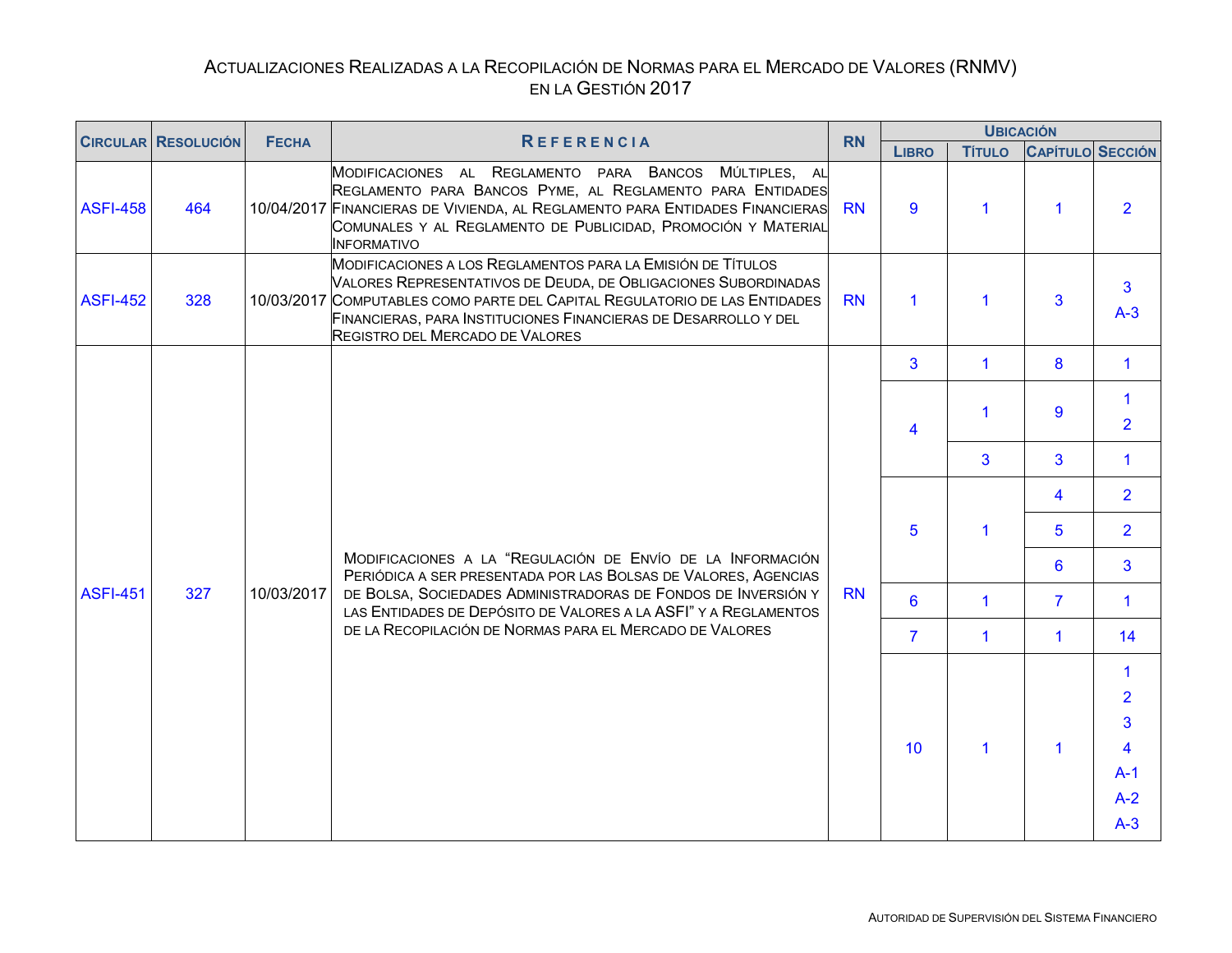<span id="page-16-0"></span>

|                 | <b>CIRCULAR RESOLUCIÓN</b> | <b>FECHA</b> | <b>REFERENCIA</b>                                                                                                                                                                                                                                                                                                        | <b>RN</b> |                | <b>UBICACIÓN</b>     |                         |                     |  |  |  |
|-----------------|----------------------------|--------------|--------------------------------------------------------------------------------------------------------------------------------------------------------------------------------------------------------------------------------------------------------------------------------------------------------------------------|-----------|----------------|----------------------|-------------------------|---------------------|--|--|--|
|                 |                            |              |                                                                                                                                                                                                                                                                                                                          |           | <b>LIBRO</b>   | <b>TÍTULO</b>        | <b>CAPÍTULO SECCIÓN</b> |                     |  |  |  |
| <b>ASFI-458</b> | 464                        |              | MODIFICACIONES AL REGLAMENTO PARA BANCOS<br>MÚLTIPLES, AL<br>REGLAMENTO PARA BANCOS PYME, AL REGLAMENTO PARA ENTIDADES<br>10/04/2017 FINANCIERAS DE VIVIENDA, AL REGLAMENTO PARA ENTIDADES FINANCIERAS<br>COMUNALES Y AL REGLAMENTO DE PUBLICIDAD, PROMOCIÓN Y MATERIAL<br><b>INFORMATIVO</b>                            | <b>RN</b> | 9              | $\blacktriangleleft$ | $\blacktriangleleft$    | $\overline{2}$      |  |  |  |
| <b>ASFI-452</b> | 328                        |              | MODIFICACIONES A LOS REGLAMENTOS PARA LA EMISIÓN DE TÍTULOS<br>VALORES REPRESENTATIVOS DE DEUDA, DE OBLIGACIONES SUBORDINADAS<br>10/03/2017 COMPUTABLES COMO PARTE DEL CAPITAL REGULATORIO DE LAS ENTIDADES<br>FINANCIERAS, PARA INSTITUCIONES FINANCIERAS DE DESARROLLO Y DEL<br><b>REGISTRO DEL MERCADO DE VALORES</b> | <b>RN</b> | $\mathbf 1$    | $\blacktriangleleft$ | $\overline{3}$          | 3<br>$A-3$          |  |  |  |
|                 |                            |              |                                                                                                                                                                                                                                                                                                                          |           | 3              | $\mathbf{1}$         | 8                       | $\mathbf 1$         |  |  |  |
|                 |                            |              |                                                                                                                                                                                                                                                                                                                          |           | $\overline{4}$ | 1                    | 9                       | 1<br>$\overline{2}$ |  |  |  |
|                 |                            |              |                                                                                                                                                                                                                                                                                                                          |           |                | 3                    | 3                       | 1                   |  |  |  |
|                 |                            |              |                                                                                                                                                                                                                                                                                                                          |           |                |                      | $\overline{4}$          | $\overline{2}$      |  |  |  |
|                 |                            |              |                                                                                                                                                                                                                                                                                                                          |           | 5              | $\mathbf 1$          | 5                       | $\overline{2}$      |  |  |  |
|                 |                            |              | MODIFICACIONES A LA "REGULACIÓN DE ENVÍO DE LA INFORMACIÓN<br>PERIÓDICA A SER PRESENTADA POR LAS BOLSAS DE VALORES, AGENCIAS                                                                                                                                                                                             |           |                |                      | 6                       | 3 <sup>1</sup>      |  |  |  |
| <b>ASFI-451</b> | 327                        | 10/03/2017   | DE BOLSA, SOCIEDADES ADMINISTRADORAS DE FONDOS DE INVERSIÓN Y<br>LAS ENTIDADES DE DEPÓSITO DE VALORES A LA ASFI" Y A REGLAMENTOS                                                                                                                                                                                         | <b>RN</b> | 6              | $\mathbf{1}$         | $\overline{7}$          | $\mathbf{1}$        |  |  |  |
|                 |                            |              | DE LA RECOPILACIÓN DE NORMAS PARA EL MERCADO DE VALORES                                                                                                                                                                                                                                                                  |           | $\overline{7}$ | $\mathbf{1}$         | $\mathbf{1}$            | 14                  |  |  |  |
|                 |                            |              |                                                                                                                                                                                                                                                                                                                          |           |                |                      |                         | 1                   |  |  |  |
|                 |                            |              |                                                                                                                                                                                                                                                                                                                          |           |                |                      |                         | $\overline{2}$      |  |  |  |
|                 |                            |              |                                                                                                                                                                                                                                                                                                                          |           |                |                      |                         | 3 <sup>5</sup>      |  |  |  |
|                 |                            |              |                                                                                                                                                                                                                                                                                                                          |           | 10             | $\blacktriangleleft$ | $\mathbf{1}$            | 4                   |  |  |  |
|                 |                            |              |                                                                                                                                                                                                                                                                                                                          |           |                |                      |                         | $A-1$               |  |  |  |
|                 |                            |              |                                                                                                                                                                                                                                                                                                                          |           |                |                      |                         | $A-2$               |  |  |  |
|                 |                            |              |                                                                                                                                                                                                                                                                                                                          |           |                |                      |                         | $A-3$               |  |  |  |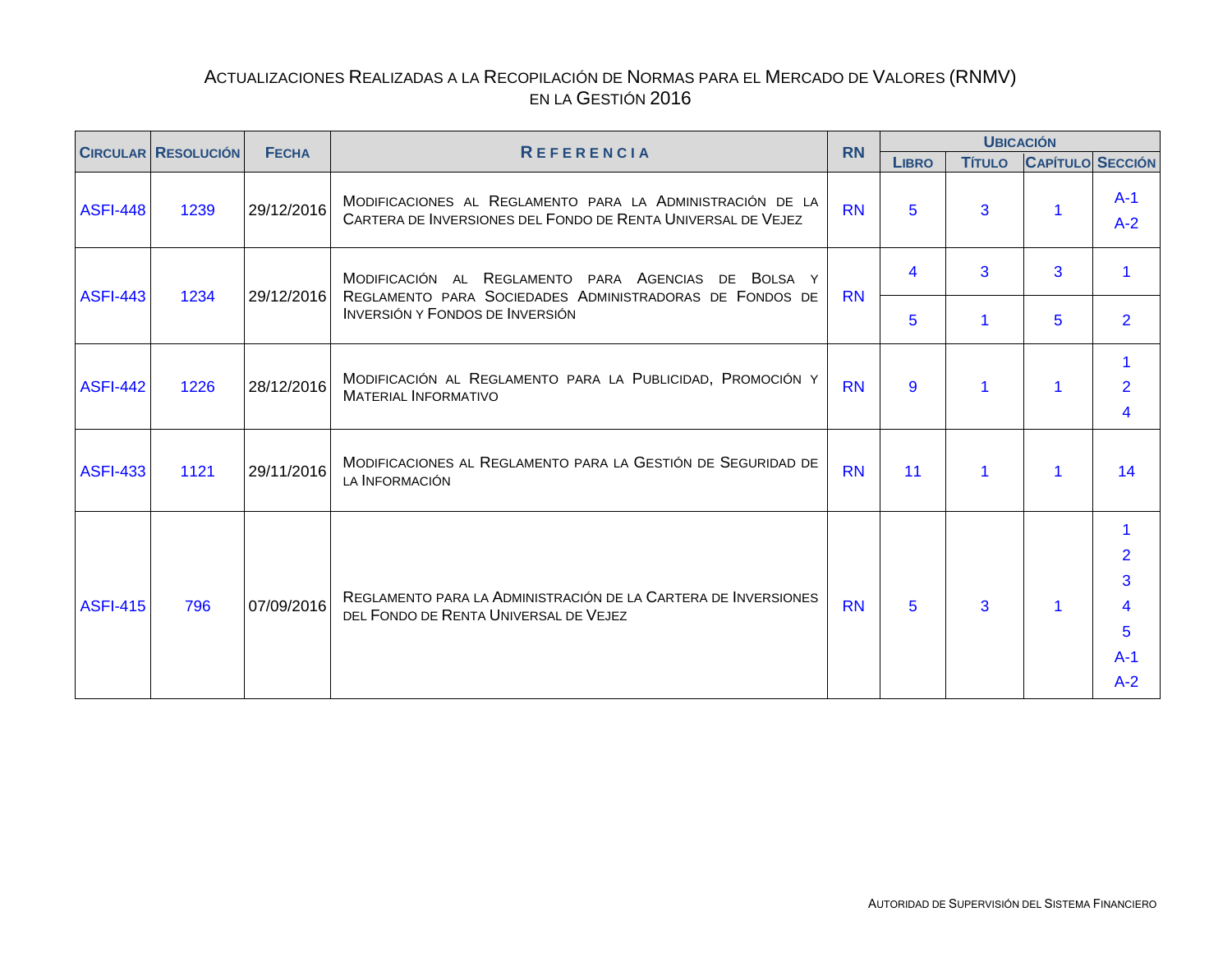<span id="page-17-0"></span>

|                 | <b>CIRCULAR RESOLUCIÓN</b> | <b>FECHA</b> | <b>REFERENCIA</b>                                                                                                         | <b>RN</b> |              | <b>UBICACIÓN</b> |                                                                                            |                                                      |
|-----------------|----------------------------|--------------|---------------------------------------------------------------------------------------------------------------------------|-----------|--------------|------------------|--------------------------------------------------------------------------------------------|------------------------------------------------------|
|                 |                            |              |                                                                                                                           |           | <b>LIBRO</b> | <b>TÍTULO</b>    |                                                                                            |                                                      |
| <b>ASFI-448</b> | 1239                       | 29/12/2016   | MODIFICACIONES AL REGLAMENTO PARA LA ADMINISTRACIÓN DE LA<br>CARTERA DE INVERSIONES DEL FONDO DE RENTA UNIVERSAL DE VEJEZ | <b>RN</b> | 5            | 3                | 1                                                                                          | $A-1$<br>$A-2$                                       |
| <b>ASFI-443</b> | 1234                       | 29/12/2016   | MODIFICACIÓN AL REGLAMENTO PARA AGENCIAS<br>DE BOLSA Y<br>REGLAMENTO PARA SOCIEDADES ADMINISTRADORAS DE FONDOS DE         | <b>RN</b> | 4            | 3                | 3                                                                                          | 1                                                    |
|                 |                            |              | <b>INVERSIÓN Y FONDOS DE INVERSIÓN</b>                                                                                    |           | 5            | 1                | <b>CAPÍTULO SECCIÓN</b><br>5<br>1<br>$\mathbf 1$<br>$\mathbf 1$<br>$\overline{\mathbf{1}}$ | $\overline{2}$                                       |
| <b>ASFI-442</b> | 1226                       | 28/12/2016   | MODIFICACIÓN AL REGLAMENTO PARA LA PUBLICIDAD, PROMOCIÓN Y<br><b>MATERIAL INFORMATIVO</b>                                 | <b>RN</b> | 9            | 1                |                                                                                            | $\overline{2}$<br>4                                  |
| <b>ASFI-433</b> | 1121                       | 29/11/2016   | MODIFICACIONES AL REGLAMENTO PARA LA GESTIÓN DE SEGURIDAD DE<br>LA <b>INFORMACIÓN</b>                                     | <b>RN</b> | 11           | 1                |                                                                                            | 14                                                   |
| <b>ASFI-415</b> | 796                        | 07/09/2016   | REGLAMENTO PARA LA ADMINISTRACIÓN DE LA CARTERA DE INVERSIONES<br>DEL FONDO DE RENTA UNIVERSAL DE VEJEZ                   | <b>RN</b> | 5            | 3                |                                                                                            | 1<br>$\overline{2}$<br>3<br>4<br>5<br>$A-1$<br>$A-2$ |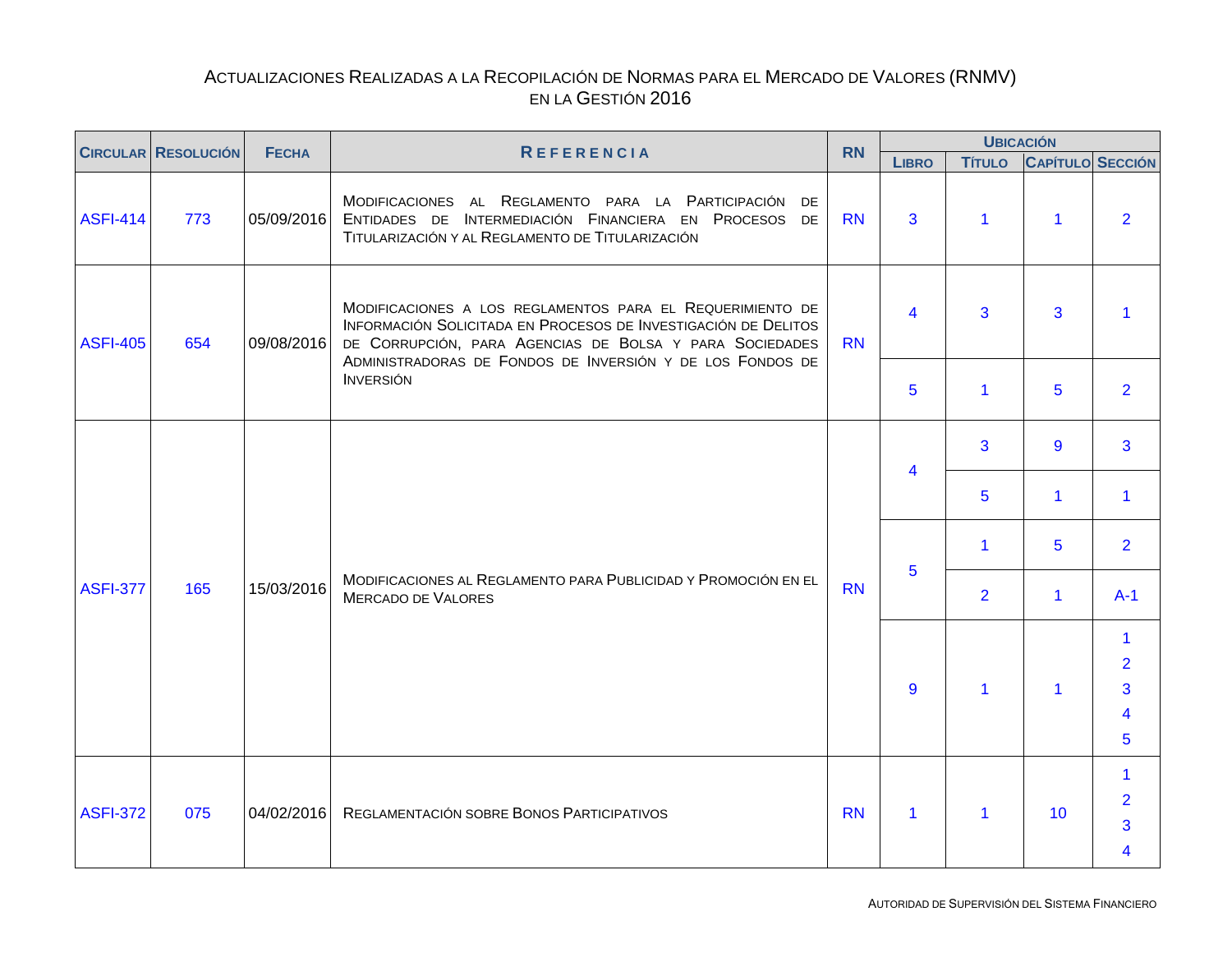<span id="page-18-0"></span>

|                 | <b>CIRCULAR RESOLUCIÓN</b> | <b>FECHA</b> | <b>REFERENCIA</b>                                                                                                                                                                                                                                   | <b>RN</b> |              | <b>UBICACIÓN</b>     |                         |                                                  |
|-----------------|----------------------------|--------------|-----------------------------------------------------------------------------------------------------------------------------------------------------------------------------------------------------------------------------------------------------|-----------|--------------|----------------------|-------------------------|--------------------------------------------------|
|                 |                            |              |                                                                                                                                                                                                                                                     |           | <b>LIBRO</b> | <b>TÍTULO</b>        | <b>CAPÍTULO SECCIÓN</b> |                                                  |
| <b>ASFI-414</b> | 773                        | 05/09/2016   | MODIFICACIONES AL REGLAMENTO PARA LA PARTICIPACIÓN DE<br>ENTIDADES DE INTERMEDIACIÓN FINANCIERA EN PROCESOS DE<br>TITULARIZACIÓN Y AL REGLAMENTO DE TITULARIZACIÓN                                                                                  | <b>RN</b> | 3            | 1                    | $\mathbf 1$             | $\overline{2}$                                   |
| <b>ASFI-405</b> | 654                        | 09/08/2016   | MODIFICACIONES A LOS REGLAMENTOS PARA EL REQUERIMIENTO DE<br>INFORMACIÓN SOLICITADA EN PROCESOS DE INVESTIGACIÓN DE DELITOS<br>DE CORRUPCIÓN, PARA AGENCIAS DE BOLSA Y PARA SOCIEDADES<br>ADMINISTRADORAS DE FONDOS DE INVERSIÓN Y DE LOS FONDOS DE | <b>RN</b> | 4            | 3                    | 3                       |                                                  |
|                 |                            |              | <b>INVERSIÓN</b>                                                                                                                                                                                                                                    |           | 5            | 1                    | 5                       | $\overline{2}$                                   |
|                 |                            |              |                                                                                                                                                                                                                                                     |           | 4            | 3                    | $\overline{9}$          | 3                                                |
|                 |                            |              |                                                                                                                                                                                                                                                     |           |              | 5                    | $\mathbf 1$             | $\blacktriangleleft$                             |
|                 |                            |              |                                                                                                                                                                                                                                                     |           | 5            | $\blacktriangleleft$ | 5                       | $\overline{2}$                                   |
| <b>ASFI-377</b> | 165                        | 15/03/2016   | MODIFICACIONES AL REGLAMENTO PARA PUBLICIDAD Y PROMOCIÓN EN EL<br><b>MERCADO DE VALORES</b>                                                                                                                                                         | <b>RN</b> |              | $\overline{2}$       | $\mathbf{1}$            | $A-1$                                            |
|                 |                            |              |                                                                                                                                                                                                                                                     |           |              |                      |                         | $\blacktriangleleft$<br>$\overline{2}$           |
|                 |                            |              |                                                                                                                                                                                                                                                     |           | 9            | $\blacktriangleleft$ | $\blacktriangleleft$    | 3                                                |
|                 |                            |              |                                                                                                                                                                                                                                                     |           |              |                      |                         | 4                                                |
|                 |                            |              |                                                                                                                                                                                                                                                     |           |              |                      |                         | 5                                                |
| <b>ASFI-372</b> | 075                        | 04/02/2016   | REGLAMENTACIÓN SOBRE BONOS PARTICIPATIVOS                                                                                                                                                                                                           | <b>RN</b> | $\mathbf{1}$ | 1                    | 10                      | $\blacktriangleleft$<br>$\overline{2}$<br>3<br>Δ |
|                 |                            |              |                                                                                                                                                                                                                                                     |           |              |                      |                         |                                                  |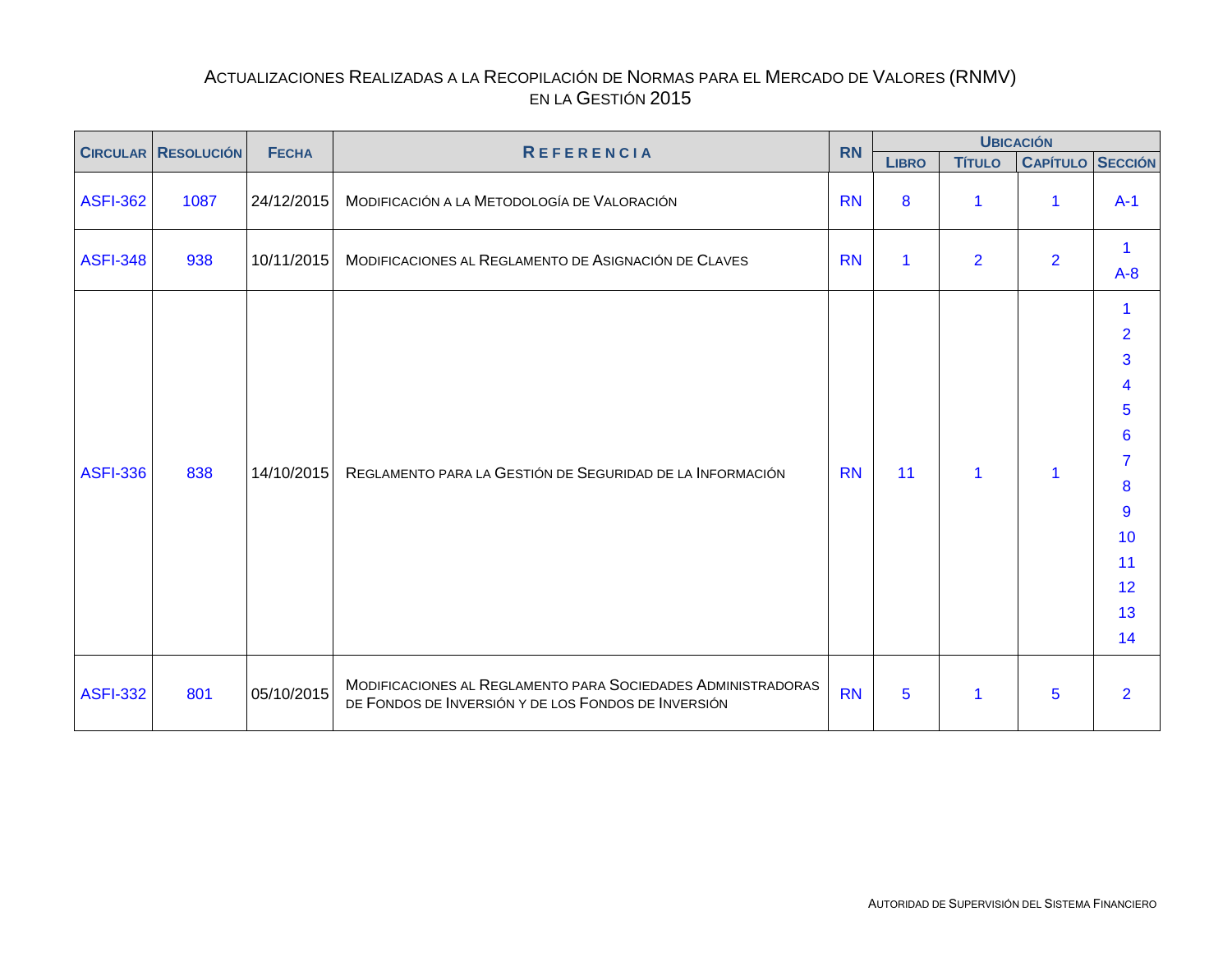<span id="page-19-0"></span>

| <b>CIRCULAR RESOLUCIÓN</b> | <b>FECHA</b> | <b>REFERENCIA</b> | <b>RN</b>                                                                                                           |           |                      | <b>UBICACIÓN</b> |                         |                                                                                                                             |
|----------------------------|--------------|-------------------|---------------------------------------------------------------------------------------------------------------------|-----------|----------------------|------------------|-------------------------|-----------------------------------------------------------------------------------------------------------------------------|
|                            |              |                   |                                                                                                                     |           | <b>LIBRO</b>         | <b>TÍTULO</b>    | <b>CAPÍTULO SECCIÓN</b> |                                                                                                                             |
| <b>ASFI-362</b>            | 1087         | 24/12/2015        | MODIFICACIÓN A LA METODOLOGÍA DE VALORACIÓN                                                                         | <b>RN</b> | 8                    | 1                | $\mathbf{1}$            | $A-1$                                                                                                                       |
| <b>ASFI-348</b>            | 938          | 10/11/2015        | MODIFICACIONES AL REGLAMENTO DE ASIGNACIÓN DE CLAVES                                                                | <b>RN</b> | $\blacktriangleleft$ | $\overline{2}$   | $\overline{2}$          | 1<br>$A-8$                                                                                                                  |
| <b>ASFI-336</b>            | 838          | 14/10/2015        | REGLAMENTO PARA LA GESTIÓN DE SEGURIDAD DE LA INFORMACIÓN                                                           | <b>RN</b> | 11                   | 1                | 1                       | 1<br>$\overline{2}$<br>3<br>4<br>5<br>$6\phantom{1}$<br>$\overline{7}$<br>8<br>$\overline{9}$<br>10<br>11<br>12<br>13<br>14 |
| <b>ASFI-332</b>            | 801          | 05/10/2015        | MODIFICACIONES AL REGLAMENTO PARA SOCIEDADES ADMINISTRADORAS<br>DE FONDOS DE INVERSIÓN Y DE LOS FONDOS DE INVERSIÓN | <b>RN</b> | 5                    | 1                | 5                       | $\overline{2}$                                                                                                              |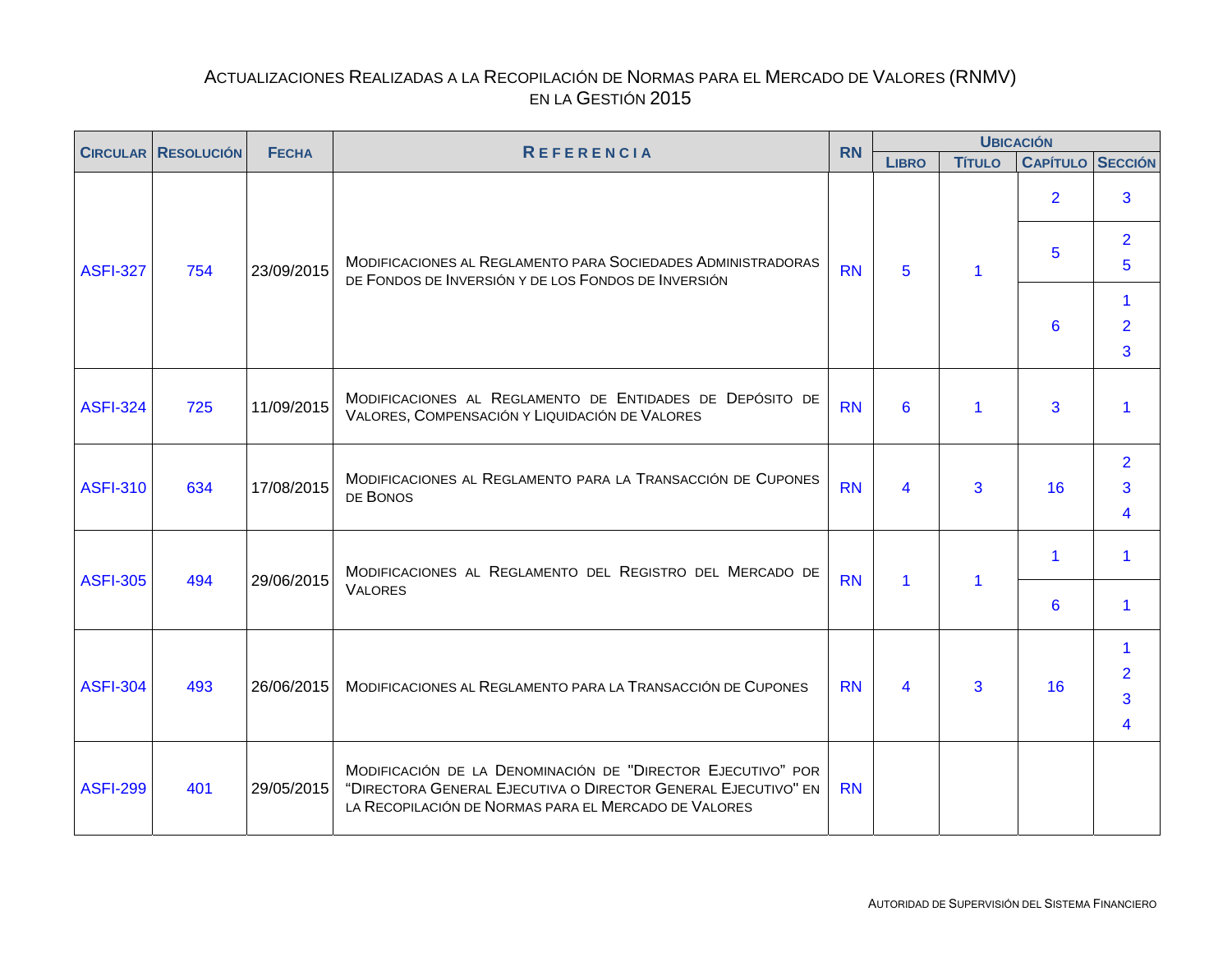<span id="page-20-0"></span>

|                 | <b>CIRCULAR RESOLUCIÓN</b> | <b>REFERENCIA</b><br><b>FECHA</b> | <b>RN</b>                                                                                                                                                                            |           | <b>UBICACIÓN</b>        |               |                         |                                        |  |
|-----------------|----------------------------|-----------------------------------|--------------------------------------------------------------------------------------------------------------------------------------------------------------------------------------|-----------|-------------------------|---------------|-------------------------|----------------------------------------|--|
|                 |                            |                                   |                                                                                                                                                                                      |           | <b>LIBRO</b>            | <b>Título</b> | <b>CAPÍTULO SECCIÓN</b> |                                        |  |
|                 |                            |                                   |                                                                                                                                                                                      |           |                         |               | 2 <sup>1</sup>          | 3                                      |  |
| <b>ASFI-327</b> | 754                        | 23/09/2015                        | MODIFICACIONES AL REGLAMENTO PARA SOCIEDADES ADMINISTRADORAS<br>DE FONDOS DE INVERSIÓN Y DE LOS FONDOS DE INVERSIÓN                                                                  | <b>RN</b> | 5                       |               | 5                       | $\overline{2}$<br>5                    |  |
|                 |                            |                                   |                                                                                                                                                                                      |           |                         |               | 6                       | $\blacktriangleleft$<br>$\overline{2}$ |  |
|                 |                            |                                   |                                                                                                                                                                                      |           |                         |               |                         | 3                                      |  |
| <b>ASFI-324</b> | 725                        | 11/09/2015                        | MODIFICACIONES AL REGLAMENTO DE ENTIDADES DE DEPÓSITO DE<br>VALORES, COMPENSACIÓN Y LIQUIDACIÓN DE VALORES                                                                           | <b>RN</b> | 6                       |               | 3                       |                                        |  |
| <b>ASFI-310</b> | 634                        | 17/08/2015                        | MODIFICACIONES AL REGLAMENTO PARA LA TRANSACCIÓN DE CUPONES<br>DE BONOS                                                                                                              | <b>RN</b> | 4                       | 3             | 16                      | $\overline{2}$<br>3<br>4               |  |
| <b>ASFI-305</b> | 494                        | 29/06/2015                        | MODIFICACIONES AL REGLAMENTO DEL REGISTRO DEL MERCADO DE                                                                                                                             | <b>RN</b> | $\mathbf{1}$            | 1             | $\blacktriangleleft$    | 1                                      |  |
|                 |                            |                                   | <b>VALORES</b>                                                                                                                                                                       |           |                         |               | 6                       | -1                                     |  |
| <b>ASFI-304</b> | 493                        | 26/06/2015                        | MODIFICACIONES AL REGLAMENTO PARA LA TRANSACCIÓN DE CUPONES                                                                                                                          | <b>RN</b> | $\overline{\mathbf{4}}$ | 3             | 16                      | 1<br>$\overline{2}$<br>3<br>4          |  |
| <b>ASFI-299</b> | 401                        | 29/05/2015                        | MODIFICACIÓN DE LA DENOMINACIÓN DE "DIRECTOR EJECUTIVO" POR<br>"DIRECTORA GENERAL EJECUTIVA O DIRECTOR GENERAL EJECUTIVO" EN<br>LA RECOPILACIÓN DE NORMAS PARA EL MERCADO DE VALORES | <b>RN</b> |                         |               |                         |                                        |  |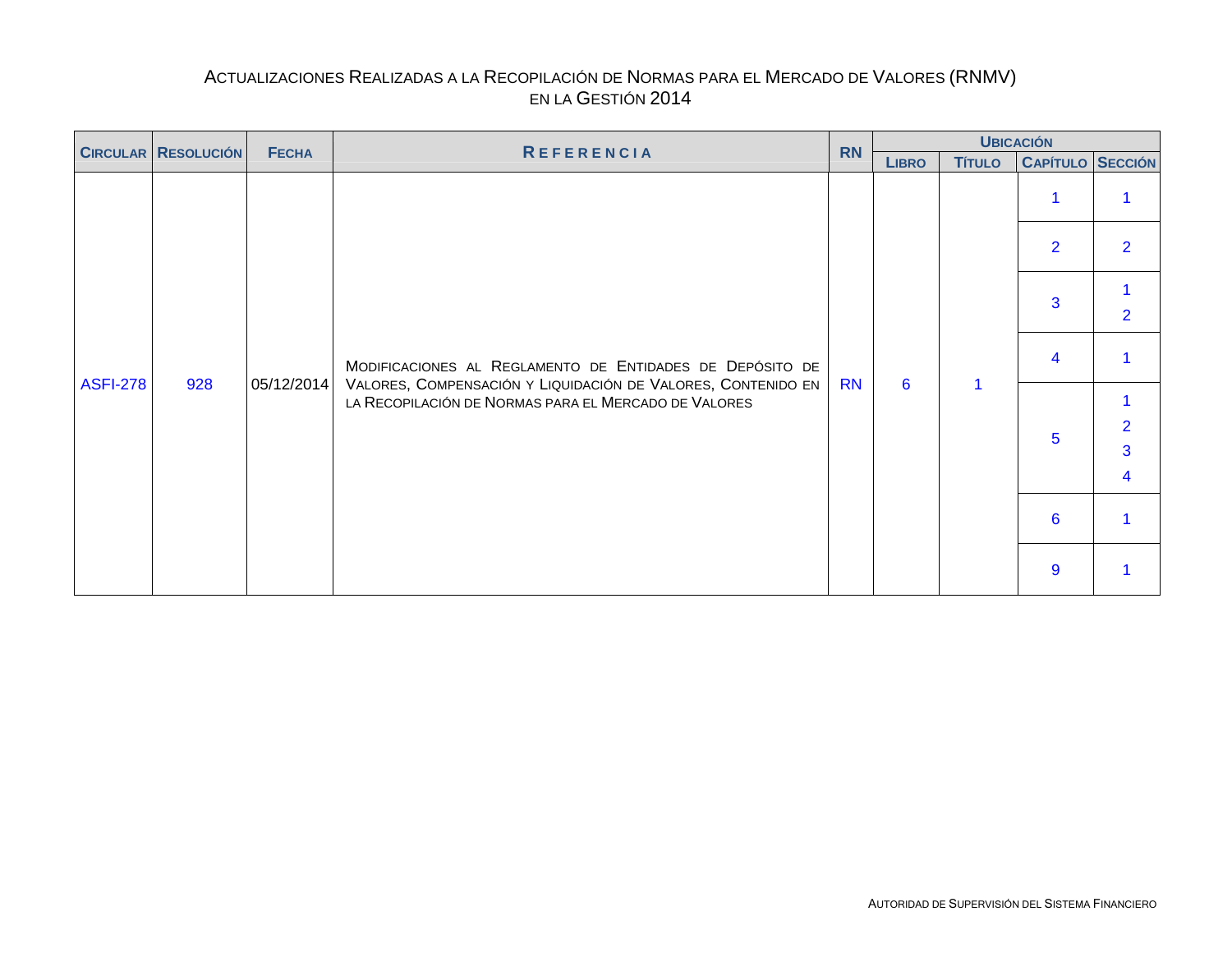<span id="page-21-0"></span>

| <b>CIRCULAR RESOLUCIÓN</b> |  | <b>FECHA</b> | <b>REFERENCIA</b>                                    | <b>RN</b>                                                                                                                     |              | <b>UBICACIÓN</b> |                         |                |
|----------------------------|--|--------------|------------------------------------------------------|-------------------------------------------------------------------------------------------------------------------------------|--------------|------------------|-------------------------|----------------|
|                            |  |              |                                                      |                                                                                                                               | <b>LIBRO</b> | <b>TÍTULO</b>    | <b>CAPÍTULO SECCIÓN</b> |                |
|                            |  |              |                                                      |                                                                                                                               |              |                  |                         |                |
| <b>ASFI-278</b>            |  |              |                                                      |                                                                                                                               |              |                  | $\overline{2}$          | $\overline{2}$ |
|                            |  |              |                                                      |                                                                                                                               |              |                  | 3                       | $\overline{2}$ |
|                            |  | 928          | 05/12/2014                                           | MODIFICACIONES AL REGLAMENTO DE ENTIDADES DE DEPÓSITO DE<br>VALORES, COMPENSACIÓN Y LIQUIDACIÓN DE VALORES, CONTENIDO EN   RN |              | $6\overline{6}$  |                         | 4              |
|                            |  |              | LA RECOPILACIÓN DE NORMAS PARA EL MERCADO DE VALORES |                                                                                                                               |              |                  |                         |                |
|                            |  |              |                                                      |                                                                                                                               |              |                  | $5^{\circ}$             | $\overline{2}$ |
|                            |  |              |                                                      |                                                                                                                               |              |                  |                         | $\overline{3}$ |
|                            |  |              |                                                      |                                                                                                                               |              |                  |                         | 4              |
|                            |  |              |                                                      |                                                                                                                               |              |                  | $6\phantom{1}6$         |                |
|                            |  |              |                                                      |                                                                                                                               |              |                  | 9                       |                |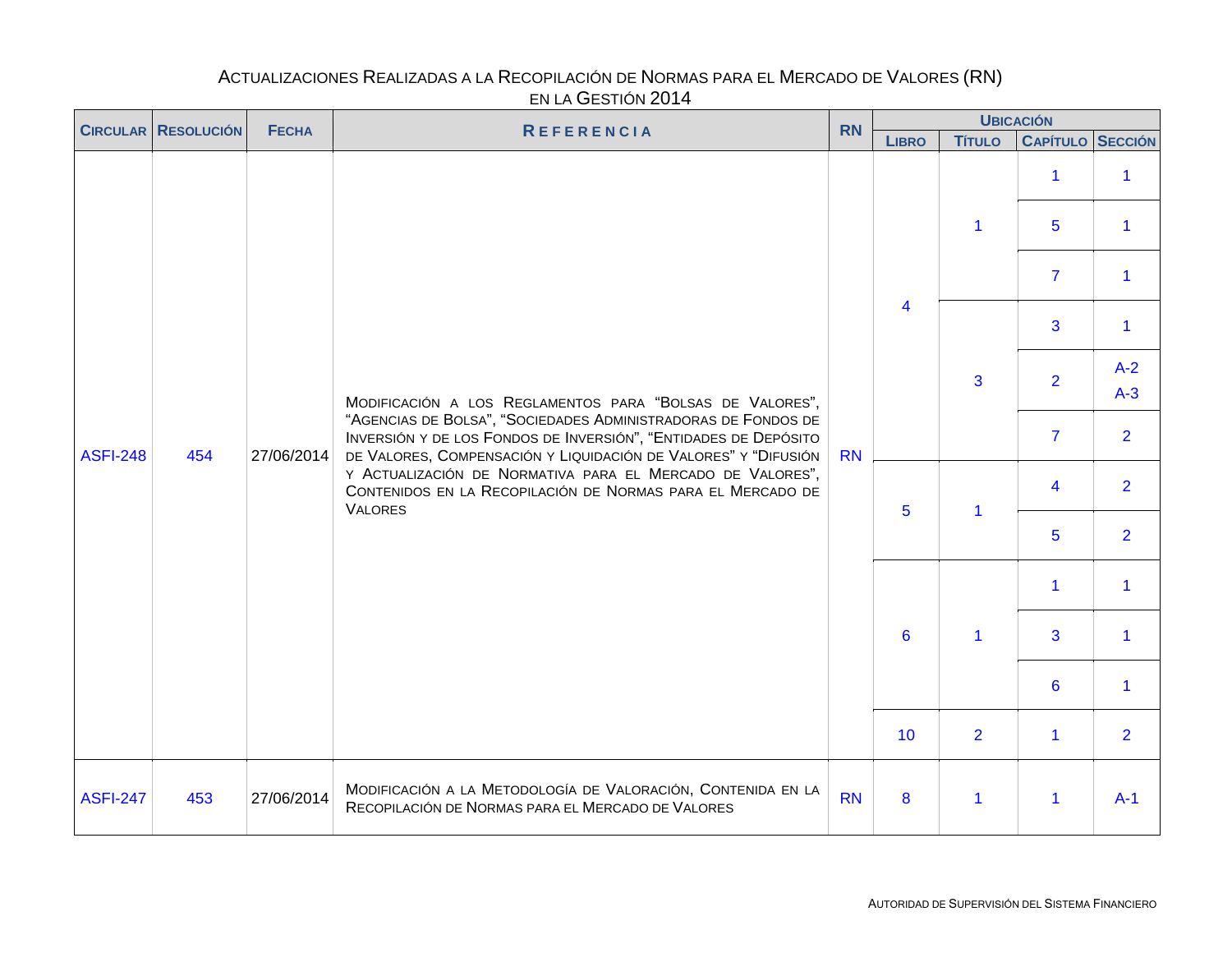<span id="page-22-0"></span>

|                 | <b>CIRCULAR RESOLUCIÓN</b> | <b>FECHA</b> | <b>REFERENCIA</b>                                                                                                                                                                                  |           | <b>RN</b>               |                      | <b>UBICACIÓN</b>        |                      |
|-----------------|----------------------------|--------------|----------------------------------------------------------------------------------------------------------------------------------------------------------------------------------------------------|-----------|-------------------------|----------------------|-------------------------|----------------------|
|                 |                            |              |                                                                                                                                                                                                    |           | <b>LIBRO</b>            | <b>Título</b>        | <b>CAPÍTULO SECCIÓN</b> |                      |
|                 |                            |              |                                                                                                                                                                                                    |           |                         |                      | $\mathbf 1$             | $\mathbf{1}$         |
|                 |                            |              |                                                                                                                                                                                                    |           |                         | $\mathbf{1}$         | 5                       | $\mathbf{1}$         |
|                 |                            |              |                                                                                                                                                                                                    |           |                         |                      | $\overline{7}$          | $\blacktriangleleft$ |
| <b>ASFI-248</b> |                            |              |                                                                                                                                                                                                    |           | $\overline{\mathbf{4}}$ |                      | 3                       | $\mathbf{1}$         |
|                 |                            |              | MODIFICACIÓN A LOS REGLAMENTOS PARA "BOLSAS DE VALORES",                                                                                                                                           |           |                         | 3                    | $\overline{2}$          | $A-2$<br>$A-3$       |
|                 | 454                        | 27/06/2014   | "AGENCIAS DE BOLSA", "SOCIEDADES ADMINISTRADORAS DE FONDOS DE<br>INVERSIÓN Y DE LOS FONDOS DE INVERSIÓN", "ENTIDADES DE DEPÓSITO<br>DE VALORES, COMPENSACIÓN Y LIQUIDACIÓN DE VALORES" Y "DIFUSIÓN | <b>RN</b> |                         |                      | $\overline{7}$          | 2 <sup>1</sup>       |
|                 |                            |              | Y ACTUALIZACIÓN DE NORMATIVA PARA EL MERCADO DE VALORES",<br>CONTENIDOS EN LA RECOPILACIÓN DE NORMAS PARA EL MERCADO DE<br><b>VALORES</b>                                                          |           | $5\phantom{1}$          | $\mathbf 1$          | $\overline{4}$          | 2 <sup>1</sup>       |
|                 |                            |              |                                                                                                                                                                                                    |           |                         |                      | 5                       | $\overline{2}$       |
|                 |                            |              |                                                                                                                                                                                                    |           |                         |                      | $\mathbf{1}$            | $\mathbf{1}$         |
|                 |                            |              |                                                                                                                                                                                                    |           | 6                       | $\blacktriangleleft$ | 3                       | 1                    |
|                 |                            |              |                                                                                                                                                                                                    |           |                         |                      | $6\phantom{a}$          | 1                    |
|                 |                            |              |                                                                                                                                                                                                    |           | 10                      | $\overline{2}$       | $\mathbf{1}$            | 2 <sup>1</sup>       |
| <b>ASFI-247</b> | 453                        | 27/06/2014   | MODIFICACIÓN A LA METODOLOGÍA DE VALORACIÓN, CONTENIDA EN LA<br>RECOPILACIÓN DE NORMAS PARA EL MERCADO DE VALORES                                                                                  | <b>RN</b> | 8                       | 1                    | $\mathbf{1}$            | $A-1$                |